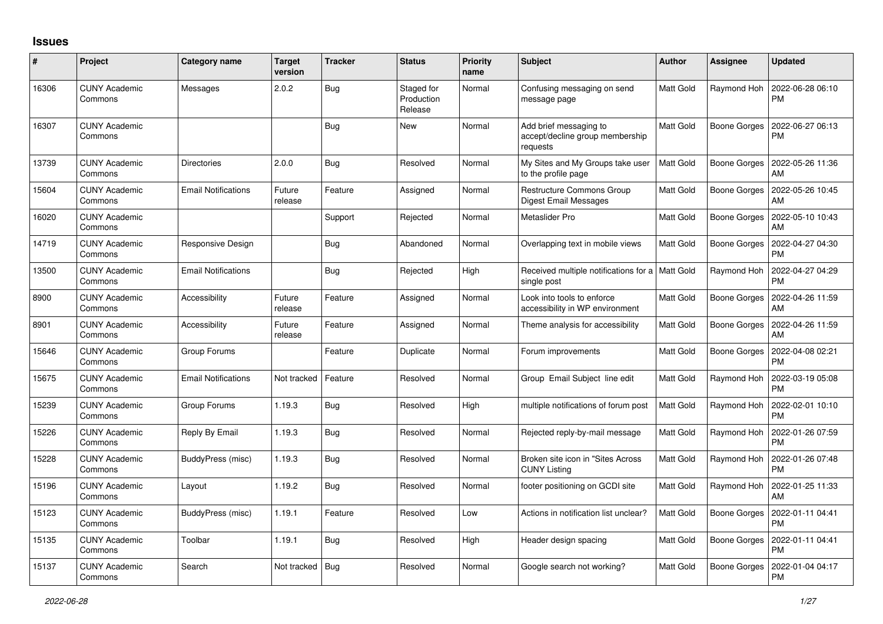## **Issues**

| #     | Project                         | <b>Category name</b>       | <b>Target</b><br>version | <b>Tracker</b> | <b>Status</b>                       | <b>Priority</b><br>name | <b>Subject</b>                                                        | <b>Author</b> | <b>Assignee</b>     | <b>Updated</b>                |
|-------|---------------------------------|----------------------------|--------------------------|----------------|-------------------------------------|-------------------------|-----------------------------------------------------------------------|---------------|---------------------|-------------------------------|
| 16306 | <b>CUNY Academic</b><br>Commons | Messages                   | 2.0.2                    | <b>Bug</b>     | Staged for<br>Production<br>Release | Normal                  | Confusing messaging on send<br>message page                           | Matt Gold     | Raymond Hoh         | 2022-06-28 06:10<br><b>PM</b> |
| 16307 | <b>CUNY Academic</b><br>Commons |                            |                          | Bug            | New                                 | Normal                  | Add brief messaging to<br>accept/decline group membership<br>requests | Matt Gold     | <b>Boone Gorges</b> | 2022-06-27 06:13<br><b>PM</b> |
| 13739 | <b>CUNY Academic</b><br>Commons | Directories                | 2.0.0                    | Bug            | Resolved                            | Normal                  | My Sites and My Groups take user<br>to the profile page               | Matt Gold     | Boone Gorges        | 2022-05-26 11:36<br>AM        |
| 15604 | <b>CUNY Academic</b><br>Commons | <b>Email Notifications</b> | Future<br>release        | Feature        | Assigned                            | Normal                  | Restructure Commons Group<br>Digest Email Messages                    | Matt Gold     | <b>Boone Gorges</b> | 2022-05-26 10:45<br>AM        |
| 16020 | <b>CUNY Academic</b><br>Commons |                            |                          | Support        | Rejected                            | Normal                  | Metaslider Pro                                                        | Matt Gold     | Boone Gorges        | 2022-05-10 10:43<br>AM        |
| 14719 | <b>CUNY Academic</b><br>Commons | Responsive Design          |                          | Bug            | Abandoned                           | Normal                  | Overlapping text in mobile views                                      | Matt Gold     | Boone Gorges        | 2022-04-27 04:30<br><b>PM</b> |
| 13500 | <b>CUNY Academic</b><br>Commons | <b>Email Notifications</b> |                          | Bug            | Rejected                            | High                    | Received multiple notifications for a   Matt Gold<br>single post      |               | Raymond Hoh         | 2022-04-27 04:29<br><b>PM</b> |
| 8900  | <b>CUNY Academic</b><br>Commons | Accessibility              | Future<br>release        | Feature        | Assigned                            | Normal                  | Look into tools to enforce<br>accessibility in WP environment         | Matt Gold     | <b>Boone Gorges</b> | 2022-04-26 11:59<br>AM        |
| 8901  | <b>CUNY Academic</b><br>Commons | Accessibility              | Future<br>release        | Feature        | Assigned                            | Normal                  | Theme analysis for accessibility                                      | Matt Gold     | <b>Boone Gorges</b> | 2022-04-26 11:59<br>AM        |
| 15646 | <b>CUNY Academic</b><br>Commons | Group Forums               |                          | Feature        | Duplicate                           | Normal                  | Forum improvements                                                    | Matt Gold     | Boone Gorges        | 2022-04-08 02:21<br><b>PM</b> |
| 15675 | <b>CUNY Academic</b><br>Commons | <b>Email Notifications</b> | Not tracked              | Feature        | Resolved                            | Normal                  | Group Email Subject line edit                                         | Matt Gold     | Raymond Hoh         | 2022-03-19 05:08<br><b>PM</b> |
| 15239 | <b>CUNY Academic</b><br>Commons | Group Forums               | 1.19.3                   | Bug            | Resolved                            | High                    | multiple notifications of forum post                                  | Matt Gold     | Raymond Hoh         | 2022-02-01 10:10<br><b>PM</b> |
| 15226 | <b>CUNY Academic</b><br>Commons | Reply By Email             | 1.19.3                   | Bug            | Resolved                            | Normal                  | Rejected reply-by-mail message                                        | Matt Gold     | Raymond Hoh         | 2022-01-26 07:59<br><b>PM</b> |
| 15228 | <b>CUNY Academic</b><br>Commons | BuddyPress (misc)          | 1.19.3                   | Bug            | Resolved                            | Normal                  | Broken site icon in "Sites Across"<br><b>CUNY Listing</b>             | Matt Gold     | Raymond Hoh         | 2022-01-26 07:48<br><b>PM</b> |
| 15196 | <b>CUNY Academic</b><br>Commons | Layout                     | 1.19.2                   | Bug            | Resolved                            | Normal                  | footer positioning on GCDI site                                       | Matt Gold     | Raymond Hoh         | 2022-01-25 11:33<br>AM        |
| 15123 | <b>CUNY Academic</b><br>Commons | BuddyPress (misc)          | 1.19.1                   | Feature        | Resolved                            | Low                     | Actions in notification list unclear?                                 | Matt Gold     | Boone Gorges        | 2022-01-11 04:41<br><b>PM</b> |
| 15135 | <b>CUNY Academic</b><br>Commons | Toolbar                    | 1.19.1                   | Bug            | Resolved                            | High                    | Header design spacing                                                 | Matt Gold     | <b>Boone Gorges</b> | 2022-01-11 04:41<br><b>PM</b> |
| 15137 | <b>CUNY Academic</b><br>Commons | Search                     | Not tracked              | Bug            | Resolved                            | Normal                  | Google search not working?                                            | Matt Gold     | <b>Boone Gorges</b> | 2022-01-04 04:17<br><b>PM</b> |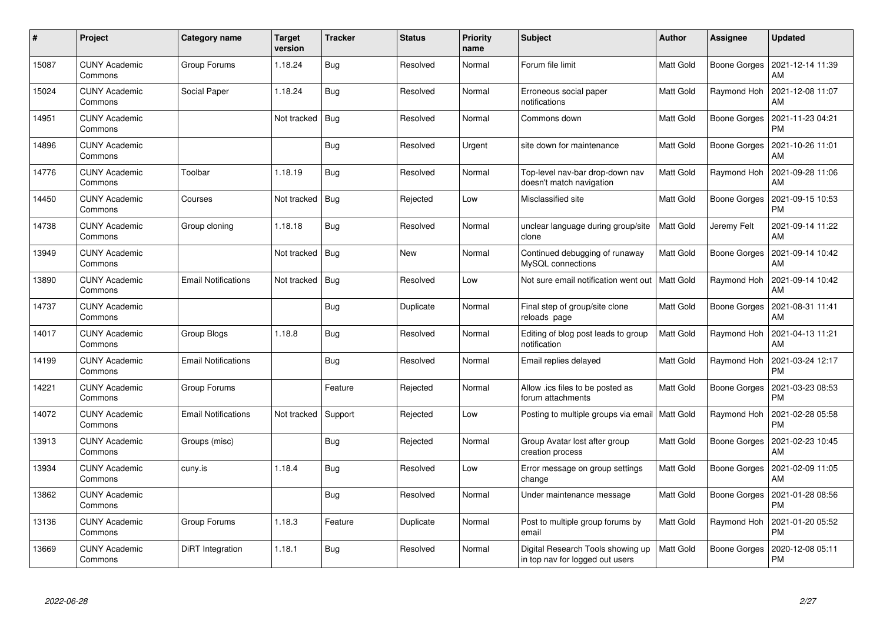| $\pmb{\#}$ | Project                         | Category name              | <b>Target</b><br>version | <b>Tracker</b> | <b>Status</b> | <b>Priority</b><br>name | <b>Subject</b>                                                       | <b>Author</b> | <b>Assignee</b>     | <b>Updated</b>                |
|------------|---------------------------------|----------------------------|--------------------------|----------------|---------------|-------------------------|----------------------------------------------------------------------|---------------|---------------------|-------------------------------|
| 15087      | <b>CUNY Academic</b><br>Commons | Group Forums               | 1.18.24                  | Bug            | Resolved      | Normal                  | Forum file limit                                                     | Matt Gold     | Boone Gorges        | 2021-12-14 11:39<br>AM        |
| 15024      | <b>CUNY Academic</b><br>Commons | Social Paper               | 1.18.24                  | <b>Bug</b>     | Resolved      | Normal                  | Erroneous social paper<br>notifications                              | Matt Gold     | Raymond Hoh         | 2021-12-08 11:07<br>AM        |
| 14951      | <b>CUNY Academic</b><br>Commons |                            | Not tracked              | Bug            | Resolved      | Normal                  | Commons down                                                         | Matt Gold     | <b>Boone Gorges</b> | 2021-11-23 04:21<br><b>PM</b> |
| 14896      | <b>CUNY Academic</b><br>Commons |                            |                          | Bug            | Resolved      | Urgent                  | site down for maintenance                                            | Matt Gold     | Boone Gorges        | 2021-10-26 11:01<br>AM        |
| 14776      | <b>CUNY Academic</b><br>Commons | Toolbar                    | 1.18.19                  | <b>Bug</b>     | Resolved      | Normal                  | Top-level nav-bar drop-down nav<br>doesn't match navigation          | Matt Gold     | Raymond Hoh         | 2021-09-28 11:06<br>AM        |
| 14450      | <b>CUNY Academic</b><br>Commons | Courses                    | Not tracked              | Bug            | Rejected      | Low                     | Misclassified site                                                   | Matt Gold     | Boone Gorges        | 2021-09-15 10:53<br><b>PM</b> |
| 14738      | <b>CUNY Academic</b><br>Commons | Group cloning              | 1.18.18                  | Bug            | Resolved      | Normal                  | unclear language during group/site<br>clone                          | Matt Gold     | Jeremy Felt         | 2021-09-14 11:22<br>AM        |
| 13949      | <b>CUNY Academic</b><br>Commons |                            | Not tracked              | <b>Bug</b>     | New           | Normal                  | Continued debugging of runaway<br>MySQL connections                  | Matt Gold     | Boone Gorges        | 2021-09-14 10:42<br>AM        |
| 13890      | <b>CUNY Academic</b><br>Commons | <b>Email Notifications</b> | Not tracked              | Bug            | Resolved      | Low                     | Not sure email notification went out                                 | Matt Gold     | Raymond Hoh         | 2021-09-14 10:42<br>AM        |
| 14737      | <b>CUNY Academic</b><br>Commons |                            |                          | Bug            | Duplicate     | Normal                  | Final step of group/site clone<br>reloads page                       | Matt Gold     | Boone Gorges        | 2021-08-31 11:41<br>AM        |
| 14017      | <b>CUNY Academic</b><br>Commons | Group Blogs                | 1.18.8                   | Bug            | Resolved      | Normal                  | Editing of blog post leads to group<br>notification                  | Matt Gold     | Raymond Hoh         | 2021-04-13 11:21<br>AM        |
| 14199      | <b>CUNY Academic</b><br>Commons | <b>Email Notifications</b> |                          | Bug            | Resolved      | Normal                  | Email replies delayed                                                | Matt Gold     | Raymond Hoh         | 2021-03-24 12:17<br><b>PM</b> |
| 14221      | <b>CUNY Academic</b><br>Commons | Group Forums               |                          | Feature        | Rejected      | Normal                  | Allow .ics files to be posted as<br>forum attachments                | Matt Gold     | Boone Gorges        | 2021-03-23 08:53<br><b>PM</b> |
| 14072      | <b>CUNY Academic</b><br>Commons | <b>Email Notifications</b> | Not tracked              | Support        | Rejected      | Low                     | Posting to multiple groups via email                                 | Matt Gold     | Raymond Hoh         | 2021-02-28 05:58<br><b>PM</b> |
| 13913      | <b>CUNY Academic</b><br>Commons | Groups (misc)              |                          | <b>Bug</b>     | Rejected      | Normal                  | Group Avatar lost after group<br>creation process                    | Matt Gold     | Boone Gorges        | 2021-02-23 10:45<br>AM        |
| 13934      | <b>CUNY Academic</b><br>Commons | cuny.is                    | 1.18.4                   | <b>Bug</b>     | Resolved      | Low                     | Error message on group settings<br>change                            | Matt Gold     | Boone Gorges        | 2021-02-09 11:05<br>AM        |
| 13862      | <b>CUNY Academic</b><br>Commons |                            |                          | Bug            | Resolved      | Normal                  | Under maintenance message                                            | Matt Gold     | Boone Gorges        | 2021-01-28 08:56<br><b>PM</b> |
| 13136      | <b>CUNY Academic</b><br>Commons | Group Forums               | 1.18.3                   | Feature        | Duplicate     | Normal                  | Post to multiple group forums by<br>email                            | Matt Gold     | Raymond Hoh         | 2021-01-20 05:52<br><b>PM</b> |
| 13669      | <b>CUNY Academic</b><br>Commons | DiRT Integration           | 1.18.1                   | <b>Bug</b>     | Resolved      | Normal                  | Digital Research Tools showing up<br>in top nav for logged out users | Matt Gold     | Boone Gorges        | 2020-12-08 05:11<br><b>PM</b> |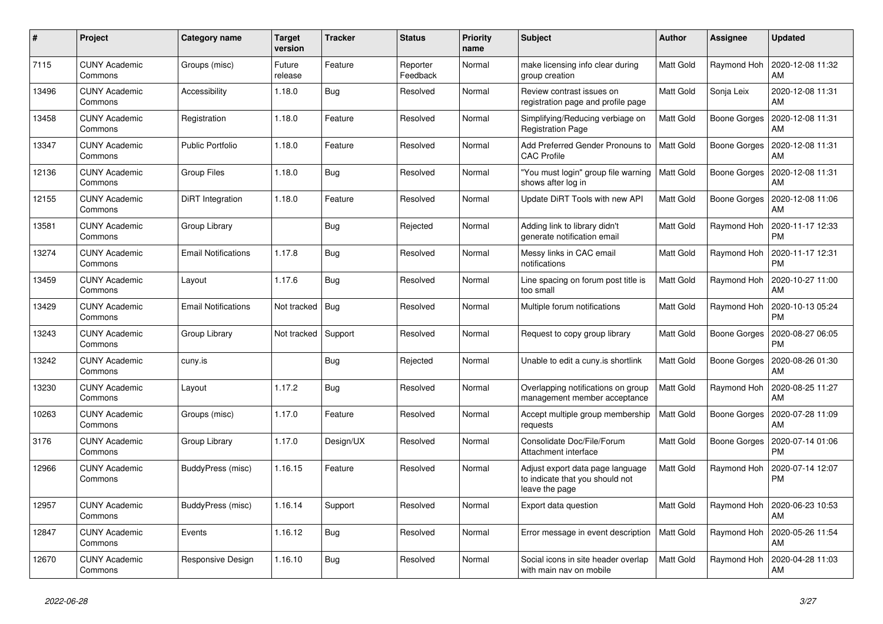| $\#$  | Project                         | <b>Category name</b>       | <b>Target</b><br>version | <b>Tracker</b> | <b>Status</b>        | <b>Priority</b><br>name | <b>Subject</b>                                                                        | <b>Author</b>    | <b>Assignee</b>     | <b>Updated</b>                |
|-------|---------------------------------|----------------------------|--------------------------|----------------|----------------------|-------------------------|---------------------------------------------------------------------------------------|------------------|---------------------|-------------------------------|
| 7115  | <b>CUNY Academic</b><br>Commons | Groups (misc)              | Future<br>release        | Feature        | Reporter<br>Feedback | Normal                  | make licensing info clear during<br>group creation                                    | Matt Gold        | Raymond Hoh         | 2020-12-08 11:32<br>AM        |
| 13496 | <b>CUNY Academic</b><br>Commons | Accessibility              | 1.18.0                   | Bug            | Resolved             | Normal                  | Review contrast issues on<br>registration page and profile page                       | Matt Gold        | Sonja Leix          | 2020-12-08 11:31<br>AM        |
| 13458 | <b>CUNY Academic</b><br>Commons | Registration               | 1.18.0                   | Feature        | Resolved             | Normal                  | Simplifying/Reducing verbiage on<br><b>Registration Page</b>                          | Matt Gold        | <b>Boone Gorges</b> | 2020-12-08 11:31<br>AM        |
| 13347 | <b>CUNY Academic</b><br>Commons | Public Portfolio           | 1.18.0                   | Feature        | Resolved             | Normal                  | Add Preferred Gender Pronouns to<br><b>CAC Profile</b>                                | Matt Gold        | Boone Gorges        | 2020-12-08 11:31<br>AM        |
| 12136 | <b>CUNY Academic</b><br>Commons | <b>Group Files</b>         | 1.18.0                   | <b>Bug</b>     | Resolved             | Normal                  | "You must login" group file warning<br>shows after log in                             | Matt Gold        | Boone Gorges        | 2020-12-08 11:31<br>AM        |
| 12155 | <b>CUNY Academic</b><br>Commons | DiRT Integration           | 1.18.0                   | Feature        | Resolved             | Normal                  | Update DiRT Tools with new API                                                        | Matt Gold        | Boone Gorges        | 2020-12-08 11:06<br>AM        |
| 13581 | <b>CUNY Academic</b><br>Commons | Group Library              |                          | <b>Bug</b>     | Rejected             | Normal                  | Adding link to library didn't<br>generate notification email                          | Matt Gold        | Raymond Hoh         | 2020-11-17 12:33<br><b>PM</b> |
| 13274 | <b>CUNY Academic</b><br>Commons | <b>Email Notifications</b> | 1.17.8                   | Bug            | Resolved             | Normal                  | Messy links in CAC email<br>notifications                                             | Matt Gold        | Raymond Hoh         | 2020-11-17 12:31<br><b>PM</b> |
| 13459 | <b>CUNY Academic</b><br>Commons | Layout                     | 1.17.6                   | <b>Bug</b>     | Resolved             | Normal                  | Line spacing on forum post title is<br>too small                                      | Matt Gold        | Raymond Hoh         | 2020-10-27 11:00<br>AM        |
| 13429 | CUNY Academic<br>Commons        | <b>Email Notifications</b> | Not tracked   Bug        |                | Resolved             | Normal                  | Multiple forum notifications                                                          | Matt Gold        | Raymond Hoh         | 2020-10-13 05:24<br><b>PM</b> |
| 13243 | <b>CUNY Academic</b><br>Commons | Group Library              | Not tracked              | Support        | Resolved             | Normal                  | Request to copy group library                                                         | Matt Gold        | Boone Gorges        | 2020-08-27 06:05<br><b>PM</b> |
| 13242 | <b>CUNY Academic</b><br>Commons | cuny.is                    |                          | <b>Bug</b>     | Rejected             | Normal                  | Unable to edit a cuny.is shortlink                                                    | Matt Gold        | <b>Boone Gorges</b> | 2020-08-26 01:30<br>AM        |
| 13230 | <b>CUNY Academic</b><br>Commons | Layout                     | 1.17.2                   | <b>Bug</b>     | Resolved             | Normal                  | Overlapping notifications on group<br>management member acceptance                    | Matt Gold        | Raymond Hoh         | 2020-08-25 11:27<br>AM        |
| 10263 | <b>CUNY Academic</b><br>Commons | Groups (misc)              | 1.17.0                   | Feature        | Resolved             | Normal                  | Accept multiple group membership<br>requests                                          | <b>Matt Gold</b> | Boone Gorges        | 2020-07-28 11:09<br>AM        |
| 3176  | <b>CUNY Academic</b><br>Commons | Group Library              | 1.17.0                   | Design/UX      | Resolved             | Normal                  | Consolidate Doc/File/Forum<br>Attachment interface                                    | Matt Gold        | Boone Gorges        | 2020-07-14 01:06<br><b>PM</b> |
| 12966 | <b>CUNY Academic</b><br>Commons | BuddyPress (misc)          | 1.16.15                  | Feature        | Resolved             | Normal                  | Adjust export data page language<br>to indicate that you should not<br>leave the page | Matt Gold        | Raymond Hoh         | 2020-07-14 12:07<br><b>PM</b> |
| 12957 | <b>CUNY Academic</b><br>Commons | BuddyPress (misc)          | 1.16.14                  | Support        | Resolved             | Normal                  | Export data question                                                                  | Matt Gold        | Raymond Hoh         | 2020-06-23 10:53<br>AM        |
| 12847 | <b>CUNY Academic</b><br>Commons | Events                     | 1.16.12                  | Bug            | Resolved             | Normal                  | Error message in event description                                                    | <b>Matt Gold</b> | Raymond Hoh         | 2020-05-26 11:54<br>AM        |
| 12670 | <b>CUNY Academic</b><br>Commons | Responsive Design          | 1.16.10                  | Bug            | Resolved             | Normal                  | Social icons in site header overlap<br>with main nav on mobile                        | Matt Gold        | Raymond Hoh         | 2020-04-28 11:03<br>AM        |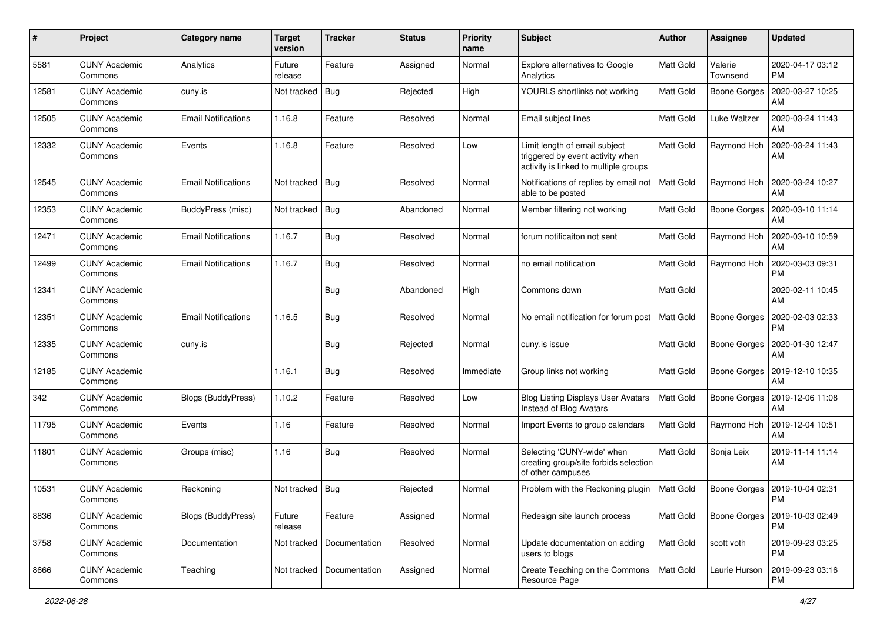| #     | Project                         | Category name              | <b>Target</b><br>version | <b>Tracker</b> | <b>Status</b> | <b>Priority</b><br>name | Subject                                                                                                    | Author           | Assignee            | <b>Updated</b>                |
|-------|---------------------------------|----------------------------|--------------------------|----------------|---------------|-------------------------|------------------------------------------------------------------------------------------------------------|------------------|---------------------|-------------------------------|
| 5581  | <b>CUNY Academic</b><br>Commons | Analytics                  | Future<br>release        | Feature        | Assigned      | Normal                  | Explore alternatives to Google<br>Analytics                                                                | <b>Matt Gold</b> | Valerie<br>Townsend | 2020-04-17 03:12<br><b>PM</b> |
| 12581 | <b>CUNY Academic</b><br>Commons | cuny.is                    | Not tracked              | Bug            | Rejected      | High                    | YOURLS shortlinks not working                                                                              | <b>Matt Gold</b> | <b>Boone Gorges</b> | 2020-03-27 10:25<br>AM        |
| 12505 | CUNY Academic<br>Commons        | <b>Email Notifications</b> | 1.16.8                   | Feature        | Resolved      | Normal                  | Email subject lines                                                                                        | Matt Gold        | Luke Waltzer        | 2020-03-24 11:43<br>AM        |
| 12332 | <b>CUNY Academic</b><br>Commons | Events                     | 1.16.8                   | Feature        | Resolved      | Low                     | Limit length of email subject<br>triggered by event activity when<br>activity is linked to multiple groups | <b>Matt Gold</b> | Raymond Hoh         | 2020-03-24 11:43<br>AM        |
| 12545 | <b>CUNY Academic</b><br>Commons | <b>Email Notifications</b> | Not tracked              | Bug            | Resolved      | Normal                  | Notifications of replies by email not<br>able to be posted                                                 | <b>Matt Gold</b> | Raymond Hoh         | 2020-03-24 10:27<br>AM        |
| 12353 | <b>CUNY Academic</b><br>Commons | BuddyPress (misc)          | Not tracked              | $ $ Bug        | Abandoned     | Normal                  | Member filtering not working                                                                               | Matt Gold        | <b>Boone Gorges</b> | 2020-03-10 11:14<br>AM        |
| 12471 | <b>CUNY Academic</b><br>Commons | <b>Email Notifications</b> | 1.16.7                   | Bug            | Resolved      | Normal                  | forum notificaiton not sent                                                                                | Matt Gold        | Raymond Hoh         | 2020-03-10 10:59<br>AM        |
| 12499 | <b>CUNY Academic</b><br>Commons | <b>Email Notifications</b> | 1.16.7                   | Bug            | Resolved      | Normal                  | no email notification                                                                                      | Matt Gold        | Raymond Hoh         | 2020-03-03 09:31<br>PM        |
| 12341 | <b>CUNY Academic</b><br>Commons |                            |                          | Bug            | Abandoned     | High                    | Commons down                                                                                               | <b>Matt Gold</b> |                     | 2020-02-11 10:45<br>AM        |
| 12351 | <b>CUNY Academic</b><br>Commons | <b>Email Notifications</b> | 1.16.5                   | Bug            | Resolved      | Normal                  | No email notification for forum post                                                                       | <b>Matt Gold</b> | <b>Boone Gorges</b> | 2020-02-03 02:33<br><b>PM</b> |
| 12335 | CUNY Academic<br>Commons        | cuny.is                    |                          | <b>Bug</b>     | Rejected      | Normal                  | cuny.is issue                                                                                              | Matt Gold        | <b>Boone Gorges</b> | 2020-01-30 12:47<br>AM        |
| 12185 | <b>CUNY Academic</b><br>Commons |                            | 1.16.1                   | Bug            | Resolved      | Immediate               | Group links not working                                                                                    | Matt Gold        | <b>Boone Gorges</b> | 2019-12-10 10:35<br>AM        |
| 342   | <b>CUNY Academic</b><br>Commons | Blogs (BuddyPress)         | 1.10.2                   | Feature        | Resolved      | Low                     | <b>Blog Listing Displays User Avatars</b><br>Instead of Blog Avatars                                       | <b>Matt Gold</b> | Boone Gorges        | 2019-12-06 11:08<br>AM        |
| 11795 | <b>CUNY Academic</b><br>Commons | Events                     | 1.16                     | Feature        | Resolved      | Normal                  | Import Events to group calendars                                                                           | <b>Matt Gold</b> | Raymond Hoh         | 2019-12-04 10:51<br>AM        |
| 11801 | <b>CUNY Academic</b><br>Commons | Groups (misc)              | 1.16                     | Bug            | Resolved      | Normal                  | Selecting 'CUNY-wide' when<br>creating group/site forbids selection<br>of other campuses                   | Matt Gold        | Sonja Leix          | 2019-11-14 11:14<br>AM        |
| 10531 | <b>CUNY Academic</b><br>Commons | Reckoning                  | Not tracked              | Bug            | Rejected      | Normal                  | Problem with the Reckoning plugin                                                                          | Matt Gold        | Boone Gorges        | 2019-10-04 02:31<br>PM        |
| 8836  | <b>CUNY Academic</b><br>Commons | Blogs (BuddyPress)         | Future<br>release        | Feature        | Assigned      | Normal                  | Redesign site launch process                                                                               | Matt Gold        | <b>Boone Gorges</b> | 2019-10-03 02:49<br><b>PM</b> |
| 3758  | <b>CUNY Academic</b><br>Commons | Documentation              | Not tracked              | Documentation  | Resolved      | Normal                  | Update documentation on adding<br>users to blogs                                                           | Matt Gold        | scott voth          | 2019-09-23 03:25<br><b>PM</b> |
| 8666  | <b>CUNY Academic</b><br>Commons | Teaching                   | Not tracked              | Documentation  | Assigned      | Normal                  | Create Teaching on the Commons<br>Resource Page                                                            | Matt Gold        | Laurie Hurson       | 2019-09-23 03:16<br><b>PM</b> |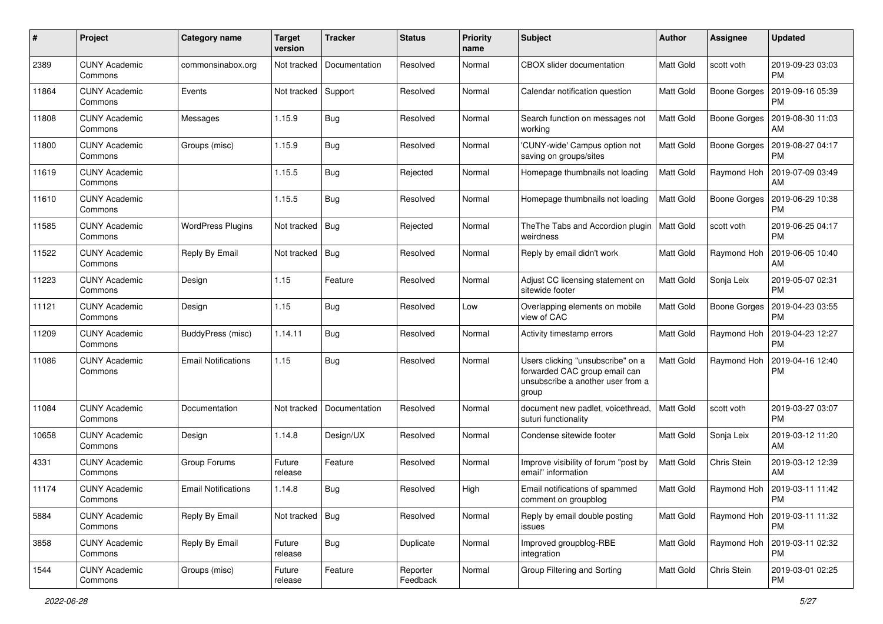| #     | Project                         | <b>Category name</b>       | <b>Target</b><br>version | <b>Tracker</b> | <b>Status</b>        | <b>Priority</b><br>name | Subject                                                                                                          | <b>Author</b>    | <b>Assignee</b>     | <b>Updated</b>                |
|-------|---------------------------------|----------------------------|--------------------------|----------------|----------------------|-------------------------|------------------------------------------------------------------------------------------------------------------|------------------|---------------------|-------------------------------|
| 2389  | <b>CUNY Academic</b><br>Commons | commonsinabox.org          | Not tracked              | Documentation  | Resolved             | Normal                  | <b>CBOX</b> slider documentation                                                                                 | Matt Gold        | scott voth          | 2019-09-23 03:03<br><b>PM</b> |
| 11864 | <b>CUNY Academic</b><br>Commons | Events                     | Not tracked              | Support        | Resolved             | Normal                  | Calendar notification question                                                                                   | Matt Gold        | <b>Boone Gorges</b> | 2019-09-16 05:39<br><b>PM</b> |
| 11808 | CUNY Academic<br>Commons        | Messages                   | 1.15.9                   | <b>Bug</b>     | Resolved             | Normal                  | Search function on messages not<br>working                                                                       | Matt Gold        | <b>Boone Gorges</b> | 2019-08-30 11:03<br>AM        |
| 11800 | <b>CUNY Academic</b><br>Commons | Groups (misc)              | 1.15.9                   | Bug            | Resolved             | Normal                  | 'CUNY-wide' Campus option not<br>saving on groups/sites                                                          | <b>Matt Gold</b> | <b>Boone Gorges</b> | 2019-08-27 04:17<br><b>PM</b> |
| 11619 | <b>CUNY Academic</b><br>Commons |                            | 1.15.5                   | Bug            | Rejected             | Normal                  | Homepage thumbnails not loading                                                                                  | Matt Gold        | Raymond Hoh         | 2019-07-09 03:49<br>AM        |
| 11610 | <b>CUNY Academic</b><br>Commons |                            | 1.15.5                   | Bug            | Resolved             | Normal                  | Homepage thumbnails not loading                                                                                  | Matt Gold        | Boone Gorges        | 2019-06-29 10:38<br><b>PM</b> |
| 11585 | <b>CUNY Academic</b><br>Commons | <b>WordPress Plugins</b>   | Not tracked              | Bug            | Rejected             | Normal                  | The The Tabs and Accordion plugin<br>weirdness                                                                   | Matt Gold        | scott voth          | 2019-06-25 04:17<br><b>PM</b> |
| 11522 | <b>CUNY Academic</b><br>Commons | Reply By Email             | Not tracked              | Bug            | Resolved             | Normal                  | Reply by email didn't work                                                                                       | Matt Gold        | Raymond Hoh         | 2019-06-05 10:40<br>AM        |
| 11223 | <b>CUNY Academic</b><br>Commons | Design                     | 1.15                     | Feature        | Resolved             | Normal                  | Adjust CC licensing statement on<br>sitewide footer                                                              | Matt Gold        | Sonja Leix          | 2019-05-07 02:31<br><b>PM</b> |
| 11121 | CUNY Academic<br>Commons        | Design                     | 1.15                     | <b>Bug</b>     | Resolved             | Low                     | Overlapping elements on mobile<br>view of CAC                                                                    | Matt Gold        | <b>Boone Gorges</b> | 2019-04-23 03:55<br><b>PM</b> |
| 11209 | <b>CUNY Academic</b><br>Commons | BuddyPress (misc)          | 1.14.11                  | Bug            | Resolved             | Normal                  | Activity timestamp errors                                                                                        | Matt Gold        | Raymond Hoh         | 2019-04-23 12:27<br><b>PM</b> |
| 11086 | <b>CUNY Academic</b><br>Commons | <b>Email Notifications</b> | 1.15                     | Bug            | Resolved             | Normal                  | Users clicking "unsubscribe" on a<br>forwarded CAC group email can<br>unsubscribe a another user from a<br>group | <b>Matt Gold</b> | Raymond Hoh         | 2019-04-16 12:40<br><b>PM</b> |
| 11084 | <b>CUNY Academic</b><br>Commons | Documentation              | Not tracked              | Documentation  | Resolved             | Normal                  | document new padlet, voicethread,<br>suturi functionality                                                        | <b>Matt Gold</b> | scott voth          | 2019-03-27 03:07<br><b>PM</b> |
| 10658 | <b>CUNY Academic</b><br>Commons | Design                     | 1.14.8                   | Design/UX      | Resolved             | Normal                  | Condense sitewide footer                                                                                         | Matt Gold        | Sonja Leix          | 2019-03-12 11:20<br>AM        |
| 4331  | <b>CUNY Academic</b><br>Commons | Group Forums               | Future<br>release        | Feature        | Resolved             | Normal                  | Improve visibility of forum "post by<br>email" information                                                       | Matt Gold        | Chris Stein         | 2019-03-12 12:39<br>AM        |
| 11174 | <b>CUNY Academic</b><br>Commons | <b>Email Notifications</b> | 1.14.8                   | Bug            | Resolved             | High                    | Email notifications of spammed<br>comment on groupblog                                                           | Matt Gold        | Raymond Hoh         | 2019-03-11 11:42<br>PM        |
| 5884  | <b>CUNY Academic</b><br>Commons | Reply By Email             | Not tracked   Bug        |                | Resolved             | Normal                  | Reply by email double posting<br>issues                                                                          | Matt Gold        | Raymond Hoh         | 2019-03-11 11:32<br>PM        |
| 3858  | <b>CUNY Academic</b><br>Commons | Reply By Email             | Future<br>release        | <b>Bug</b>     | Duplicate            | Normal                  | Improved groupblog-RBE<br>integration                                                                            | Matt Gold        | Raymond Hoh         | 2019-03-11 02:32<br><b>PM</b> |
| 1544  | <b>CUNY Academic</b><br>Commons | Groups (misc)              | Future<br>release        | Feature        | Reporter<br>Feedback | Normal                  | Group Filtering and Sorting                                                                                      | Matt Gold        | Chris Stein         | 2019-03-01 02:25<br><b>PM</b> |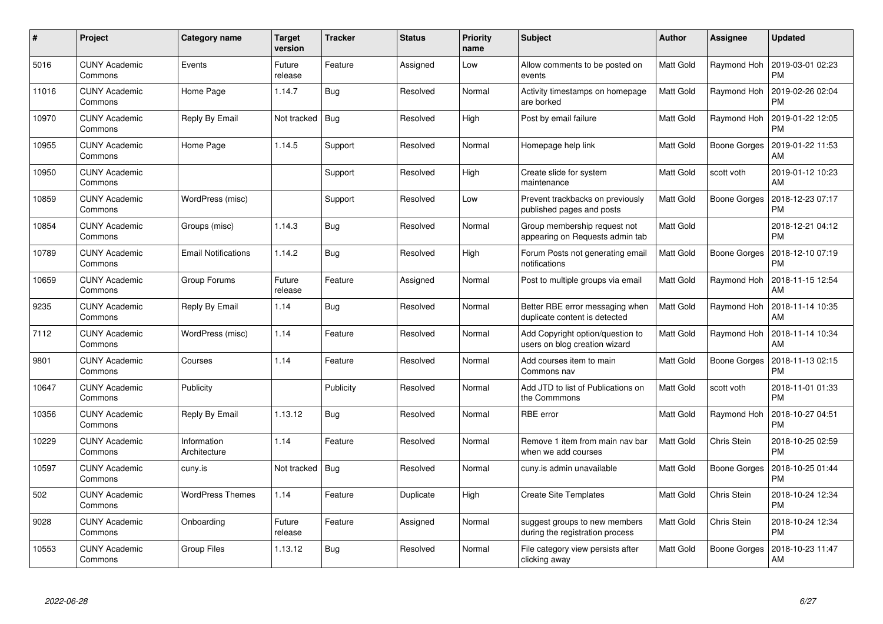| $\#$  | Project                         | Category name               | <b>Target</b><br>version | <b>Tracker</b> | <b>Status</b> | <b>Priority</b><br>name | <b>Subject</b>                                                    | Author           | Assignee     | <b>Updated</b>                |
|-------|---------------------------------|-----------------------------|--------------------------|----------------|---------------|-------------------------|-------------------------------------------------------------------|------------------|--------------|-------------------------------|
| 5016  | <b>CUNY Academic</b><br>Commons | Events                      | Future<br>release        | Feature        | Assigned      | Low                     | Allow comments to be posted on<br>events                          | <b>Matt Gold</b> | Raymond Hoh  | 2019-03-01 02:23<br>PM        |
| 11016 | <b>CUNY Academic</b><br>Commons | Home Page                   | 1.14.7                   | Bug            | Resolved      | Normal                  | Activity timestamps on homepage<br>are borked                     | Matt Gold        | Raymond Hoh  | 2019-02-26 02:04<br><b>PM</b> |
| 10970 | <b>CUNY Academic</b><br>Commons | Reply By Email              | Not tracked              | Bug            | Resolved      | High                    | Post by email failure                                             | Matt Gold        | Raymond Hoh  | 2019-01-22 12:05<br><b>PM</b> |
| 10955 | <b>CUNY Academic</b><br>Commons | Home Page                   | 1.14.5                   | Support        | Resolved      | Normal                  | Homepage help link                                                | Matt Gold        | Boone Gorges | 2019-01-22 11:53<br>AM        |
| 10950 | <b>CUNY Academic</b><br>Commons |                             |                          | Support        | Resolved      | High                    | Create slide for system<br>maintenance                            | Matt Gold        | scott voth   | 2019-01-12 10:23<br>AM        |
| 10859 | <b>CUNY Academic</b><br>Commons | WordPress (misc)            |                          | Support        | Resolved      | Low                     | Prevent trackbacks on previously<br>published pages and posts     | Matt Gold        | Boone Gorges | 2018-12-23 07:17<br><b>PM</b> |
| 10854 | <b>CUNY Academic</b><br>Commons | Groups (misc)               | 1.14.3                   | <b>Bug</b>     | Resolved      | Normal                  | Group membership request not<br>appearing on Requests admin tab   | Matt Gold        |              | 2018-12-21 04:12<br><b>PM</b> |
| 10789 | <b>CUNY Academic</b><br>Commons | <b>Email Notifications</b>  | 1.14.2                   | Bug            | Resolved      | High                    | Forum Posts not generating email<br>notifications                 | Matt Gold        | Boone Gorges | 2018-12-10 07:19<br><b>PM</b> |
| 10659 | <b>CUNY Academic</b><br>Commons | Group Forums                | Future<br>release        | Feature        | Assigned      | Normal                  | Post to multiple groups via email                                 | Matt Gold        | Raymond Hoh  | 2018-11-15 12:54<br>AM        |
| 9235  | <b>CUNY Academic</b><br>Commons | Reply By Email              | 1.14                     | Bug            | Resolved      | Normal                  | Better RBE error messaging when<br>duplicate content is detected  | Matt Gold        | Raymond Hoh  | 2018-11-14 10:35<br>AM        |
| 7112  | <b>CUNY Academic</b><br>Commons | WordPress (misc)            | 1.14                     | Feature        | Resolved      | Normal                  | Add Copyright option/question to<br>users on blog creation wizard | Matt Gold        | Raymond Hoh  | 2018-11-14 10:34<br>AM        |
| 9801  | <b>CUNY Academic</b><br>Commons | Courses                     | 1.14                     | Feature        | Resolved      | Normal                  | Add courses item to main<br>Commons nav                           | Matt Gold        | Boone Gorges | 2018-11-13 02:15<br><b>PM</b> |
| 10647 | <b>CUNY Academic</b><br>Commons | Publicity                   |                          | Publicity      | Resolved      | Normal                  | Add JTD to list of Publications on<br>the Commmons                | Matt Gold        | scott voth   | 2018-11-01 01:33<br><b>PM</b> |
| 10356 | <b>CUNY Academic</b><br>Commons | Reply By Email              | 1.13.12                  | Bug            | Resolved      | Normal                  | <b>RBE</b> error                                                  | Matt Gold        | Raymond Hoh  | 2018-10-27 04:51<br><b>PM</b> |
| 10229 | <b>CUNY Academic</b><br>Commons | Information<br>Architecture | 1.14                     | Feature        | Resolved      | Normal                  | Remove 1 item from main nav bar<br>when we add courses            | Matt Gold        | Chris Stein  | 2018-10-25 02:59<br><b>PM</b> |
| 10597 | <b>CUNY Academic</b><br>Commons | cuny.is                     | Not tracked              | Bug            | Resolved      | Normal                  | cuny is admin unavailable                                         | Matt Gold        | Boone Gorges | 2018-10-25 01:44<br><b>PM</b> |
| 502   | <b>CUNY Academic</b><br>Commons | <b>WordPress Themes</b>     | 1.14                     | Feature        | Duplicate     | High                    | <b>Create Site Templates</b>                                      | Matt Gold        | Chris Stein  | 2018-10-24 12:34<br><b>PM</b> |
| 9028  | <b>CUNY Academic</b><br>Commons | Onboarding                  | Future<br>release        | Feature        | Assigned      | Normal                  | suggest groups to new members<br>during the registration process  | Matt Gold        | Chris Stein  | 2018-10-24 12:34<br><b>PM</b> |
| 10553 | <b>CUNY Academic</b><br>Commons | Group Files                 | 1.13.12                  | Bug            | Resolved      | Normal                  | File category view persists after<br>clicking away                | Matt Gold        | Boone Gorges | 2018-10-23 11:47<br>AM        |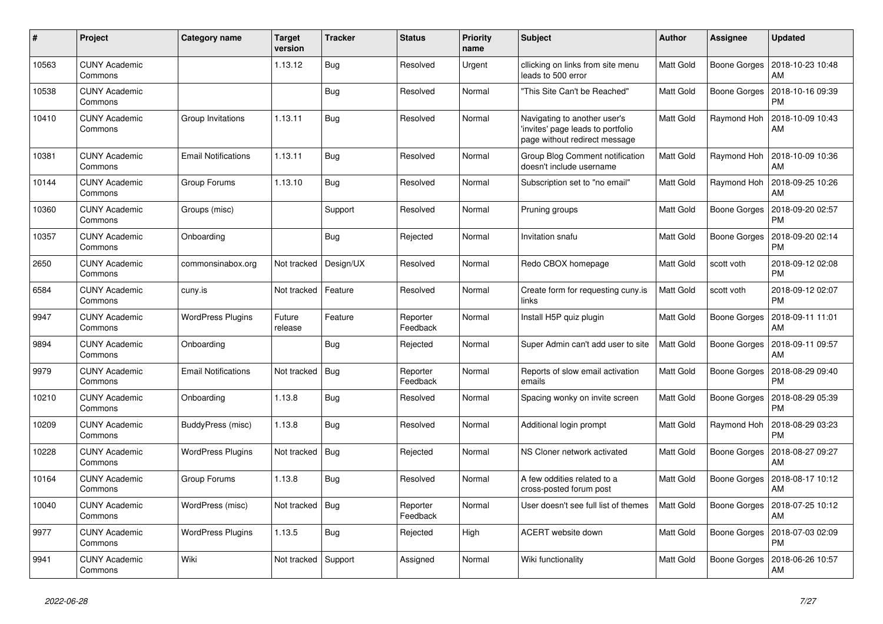| #     | Project                         | <b>Category name</b>       | <b>Target</b><br>version | <b>Tracker</b> | <b>Status</b>        | <b>Priority</b><br>name | <b>Subject</b>                                                                                    | <b>Author</b>    | <b>Assignee</b>     | <b>Updated</b>                |
|-------|---------------------------------|----------------------------|--------------------------|----------------|----------------------|-------------------------|---------------------------------------------------------------------------------------------------|------------------|---------------------|-------------------------------|
| 10563 | <b>CUNY Academic</b><br>Commons |                            | 1.13.12                  | <b>Bug</b>     | Resolved             | Urgent                  | cllicking on links from site menu<br>leads to 500 error                                           | Matt Gold        | Boone Gorges        | 2018-10-23 10:48<br>AM        |
| 10538 | <b>CUNY Academic</b><br>Commons |                            |                          | <b>Bug</b>     | Resolved             | Normal                  | "This Site Can't be Reached"                                                                      | Matt Gold        | <b>Boone Gorges</b> | 2018-10-16 09:39<br><b>PM</b> |
| 10410 | <b>CUNY Academic</b><br>Commons | Group Invitations          | 1.13.11                  | <b>Bug</b>     | Resolved             | Normal                  | Navigating to another user's<br>invites' page leads to portfolio<br>page without redirect message | Matt Gold        | Raymond Hoh         | 2018-10-09 10:43<br>AM        |
| 10381 | <b>CUNY Academic</b><br>Commons | <b>Email Notifications</b> | 1.13.11                  | <b>Bug</b>     | Resolved             | Normal                  | Group Blog Comment notification<br>doesn't include username                                       | Matt Gold        | Raymond Hoh         | 2018-10-09 10:36<br>AM        |
| 10144 | <b>CUNY Academic</b><br>Commons | Group Forums               | 1.13.10                  | Bug            | Resolved             | Normal                  | Subscription set to "no email"                                                                    | Matt Gold        | Raymond Hoh         | 2018-09-25 10:26<br>AM        |
| 10360 | <b>CUNY Academic</b><br>Commons | Groups (misc)              |                          | Support        | Resolved             | Normal                  | Pruning groups                                                                                    | Matt Gold        | Boone Gorges        | 2018-09-20 02:57<br><b>PM</b> |
| 10357 | <b>CUNY Academic</b><br>Commons | Onboarding                 |                          | <b>Bug</b>     | Rejected             | Normal                  | Invitation snafu                                                                                  | <b>Matt Gold</b> | <b>Boone Gorges</b> | 2018-09-20 02:14<br><b>PM</b> |
| 2650  | <b>CUNY Academic</b><br>Commons | commonsinabox.org          | Not tracked              | Design/UX      | Resolved             | Normal                  | Redo CBOX homepage                                                                                | Matt Gold        | scott voth          | 2018-09-12 02:08<br><b>PM</b> |
| 6584  | <b>CUNY Academic</b><br>Commons | cuny.is                    | Not tracked              | Feature        | Resolved             | Normal                  | Create form for requesting cuny.is<br>links                                                       | Matt Gold        | scott voth          | 2018-09-12 02:07<br><b>PM</b> |
| 9947  | <b>CUNY Academic</b><br>Commons | <b>WordPress Plugins</b>   | Future<br>release        | Feature        | Reporter<br>Feedback | Normal                  | Install H5P quiz plugin                                                                           | Matt Gold        | <b>Boone Gorges</b> | 2018-09-11 11:01<br>AM        |
| 9894  | <b>CUNY Academic</b><br>Commons | Onboarding                 |                          | Bug            | Rejected             | Normal                  | Super Admin can't add user to site                                                                | <b>Matt Gold</b> | Boone Gorges        | 2018-09-11 09:57<br>AM        |
| 9979  | <b>CUNY Academic</b><br>Commons | <b>Email Notifications</b> | Not tracked              | Bug            | Reporter<br>Feedback | Normal                  | Reports of slow email activation<br>emails                                                        | <b>Matt Gold</b> | Boone Gorges        | 2018-08-29 09:40<br><b>PM</b> |
| 10210 | <b>CUNY Academic</b><br>Commons | Onboarding                 | 1.13.8                   | Bug            | Resolved             | Normal                  | Spacing wonky on invite screen                                                                    | Matt Gold        | <b>Boone Gorges</b> | 2018-08-29 05:39<br><b>PM</b> |
| 10209 | <b>CUNY Academic</b><br>Commons | BuddyPress (misc)          | 1.13.8                   | Bug            | Resolved             | Normal                  | Additional login prompt                                                                           | Matt Gold        | Raymond Hoh         | 2018-08-29 03:23<br><b>PM</b> |
| 10228 | <b>CUNY Academic</b><br>Commons | <b>WordPress Plugins</b>   | Not tracked              | Bug            | Rejected             | Normal                  | NS Cloner network activated                                                                       | <b>Matt Gold</b> | Boone Gorges        | 2018-08-27 09:27<br>AM        |
| 10164 | <b>CUNY Academic</b><br>Commons | Group Forums               | 1.13.8                   | Bug            | Resolved             | Normal                  | A few oddities related to a<br>cross-posted forum post                                            | Matt Gold        | <b>Boone Gorges</b> | 2018-08-17 10:12<br>AM        |
| 10040 | <b>CUNY Academic</b><br>Commons | WordPress (misc)           | Not tracked              | Bug            | Reporter<br>Feedback | Normal                  | User doesn't see full list of themes                                                              | <b>Matt Gold</b> | Boone Gorges        | 2018-07-25 10:12<br>AM        |
| 9977  | <b>CUNY Academic</b><br>Commons | <b>WordPress Plugins</b>   | 1.13.5                   | <b>Bug</b>     | Rejected             | High                    | <b>ACERT</b> website down                                                                         | Matt Gold        | Boone Gorges        | 2018-07-03 02:09<br><b>PM</b> |
| 9941  | <b>CUNY Academic</b><br>Commons | Wiki                       | Not tracked              | Support        | Assigned             | Normal                  | Wiki functionality                                                                                | Matt Gold        | <b>Boone Gorges</b> | 2018-06-26 10:57<br>AM        |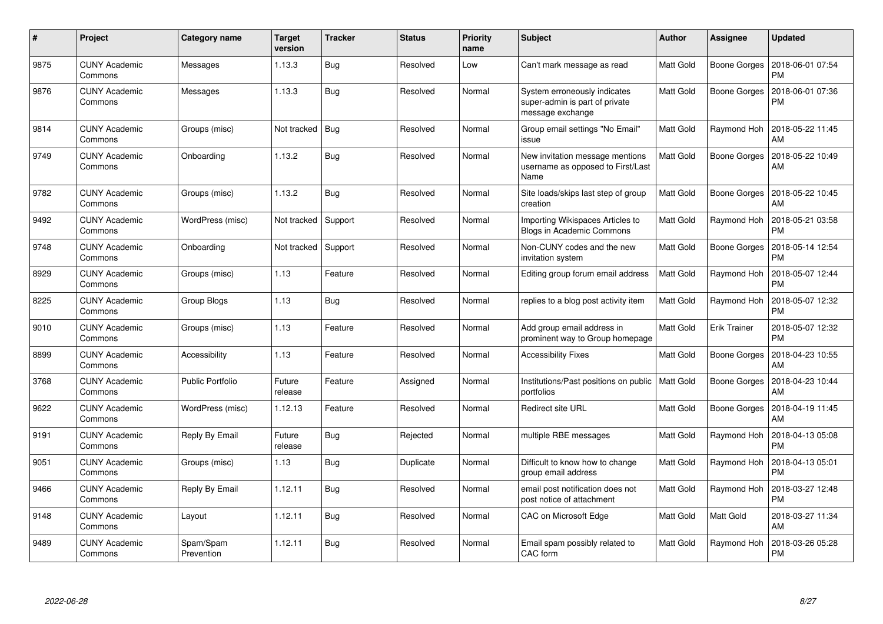| $\#$ | Project                         | Category name           | <b>Target</b><br>version | <b>Tracker</b> | <b>Status</b> | <b>Priority</b><br>name | <b>Subject</b>                                                                     | <b>Author</b>    | Assignee            | <b>Updated</b>                |
|------|---------------------------------|-------------------------|--------------------------|----------------|---------------|-------------------------|------------------------------------------------------------------------------------|------------------|---------------------|-------------------------------|
| 9875 | <b>CUNY Academic</b><br>Commons | Messages                | 1.13.3                   | <b>Bug</b>     | Resolved      | Low                     | Can't mark message as read                                                         | Matt Gold        | Boone Gorges        | 2018-06-01 07:54<br><b>PM</b> |
| 9876 | <b>CUNY Academic</b><br>Commons | Messages                | 1.13.3                   | Bug            | Resolved      | Normal                  | System erroneously indicates<br>super-admin is part of private<br>message exchange | <b>Matt Gold</b> | Boone Gorges        | 2018-06-01 07:36<br><b>PM</b> |
| 9814 | <b>CUNY Academic</b><br>Commons | Groups (misc)           | Not tracked              | Bug            | Resolved      | Normal                  | Group email settings "No Email"<br>issue                                           | <b>Matt Gold</b> | Raymond Hoh         | 2018-05-22 11:45<br>AM        |
| 9749 | <b>CUNY Academic</b><br>Commons | Onboarding              | 1.13.2                   | <b>Bug</b>     | Resolved      | Normal                  | New invitation message mentions<br>username as opposed to First/Last<br>Name       | Matt Gold        | Boone Gorges        | 2018-05-22 10:49<br>AM        |
| 9782 | <b>CUNY Academic</b><br>Commons | Groups (misc)           | 1.13.2                   | Bug            | Resolved      | Normal                  | Site loads/skips last step of group<br>creation                                    | <b>Matt Gold</b> | Boone Gorges        | 2018-05-22 10:45<br>AM        |
| 9492 | <b>CUNY Academic</b><br>Commons | WordPress (misc)        | Not tracked              | Support        | Resolved      | Normal                  | Importing Wikispaces Articles to<br><b>Blogs in Academic Commons</b>               | <b>Matt Gold</b> | Raymond Hoh         | 2018-05-21 03:58<br><b>PM</b> |
| 9748 | <b>CUNY Academic</b><br>Commons | Onboarding              | Not tracked              | Support        | Resolved      | Normal                  | Non-CUNY codes and the new<br>invitation system                                    | Matt Gold        | Boone Gorges        | 2018-05-14 12:54<br>PM        |
| 8929 | <b>CUNY Academic</b><br>Commons | Groups (misc)           | 1.13                     | Feature        | Resolved      | Normal                  | Editing group forum email address                                                  | <b>Matt Gold</b> | Raymond Hoh         | 2018-05-07 12:44<br><b>PM</b> |
| 8225 | <b>CUNY Academic</b><br>Commons | Group Blogs             | 1.13                     | Bug            | Resolved      | Normal                  | replies to a blog post activity item                                               | <b>Matt Gold</b> | Raymond Hoh         | 2018-05-07 12:32<br><b>PM</b> |
| 9010 | <b>CUNY Academic</b><br>Commons | Groups (misc)           | 1.13                     | Feature        | Resolved      | Normal                  | Add group email address in<br>prominent way to Group homepage                      | Matt Gold        | <b>Erik Trainer</b> | 2018-05-07 12:32<br><b>PM</b> |
| 8899 | <b>CUNY Academic</b><br>Commons | Accessibility           | 1.13                     | Feature        | Resolved      | Normal                  | <b>Accessibility Fixes</b>                                                         | Matt Gold        | Boone Gorges        | 2018-04-23 10:55<br>AM        |
| 3768 | <b>CUNY Academic</b><br>Commons | Public Portfolio        | Future<br>release        | Feature        | Assigned      | Normal                  | Institutions/Past positions on public<br>portfolios                                | Matt Gold        | Boone Gorges        | 2018-04-23 10:44<br>AM        |
| 9622 | <b>CUNY Academic</b><br>Commons | WordPress (misc)        | 1.12.13                  | Feature        | Resolved      | Normal                  | <b>Redirect site URL</b>                                                           | Matt Gold        | Boone Gorges        | 2018-04-19 11:45<br>AM        |
| 9191 | <b>CUNY Academic</b><br>Commons | Reply By Email          | Future<br>release        | Bug            | Rejected      | Normal                  | multiple RBE messages                                                              | Matt Gold        | Raymond Hoh         | 2018-04-13 05:08<br><b>PM</b> |
| 9051 | <b>CUNY Academic</b><br>Commons | Groups (misc)           | 1.13                     | Bug            | Duplicate     | Normal                  | Difficult to know how to change<br>group email address                             | <b>Matt Gold</b> | Raymond Hoh         | 2018-04-13 05:01<br><b>PM</b> |
| 9466 | <b>CUNY Academic</b><br>Commons | <b>Reply By Email</b>   | 1.12.11                  | Bug            | Resolved      | Normal                  | email post notification does not<br>post notice of attachment                      | Matt Gold        | Raymond Hoh         | 2018-03-27 12:48<br><b>PM</b> |
| 9148 | <b>CUNY Academic</b><br>Commons | Layout                  | 1.12.11                  | Bug            | Resolved      | Normal                  | CAC on Microsoft Edge                                                              | Matt Gold        | Matt Gold           | 2018-03-27 11:34<br>AM        |
| 9489 | <b>CUNY Academic</b><br>Commons | Spam/Spam<br>Prevention | 1.12.11                  | <b>Bug</b>     | Resolved      | Normal                  | Email spam possibly related to<br>CAC form                                         | Matt Gold        | Raymond Hoh         | 2018-03-26 05:28<br>PM        |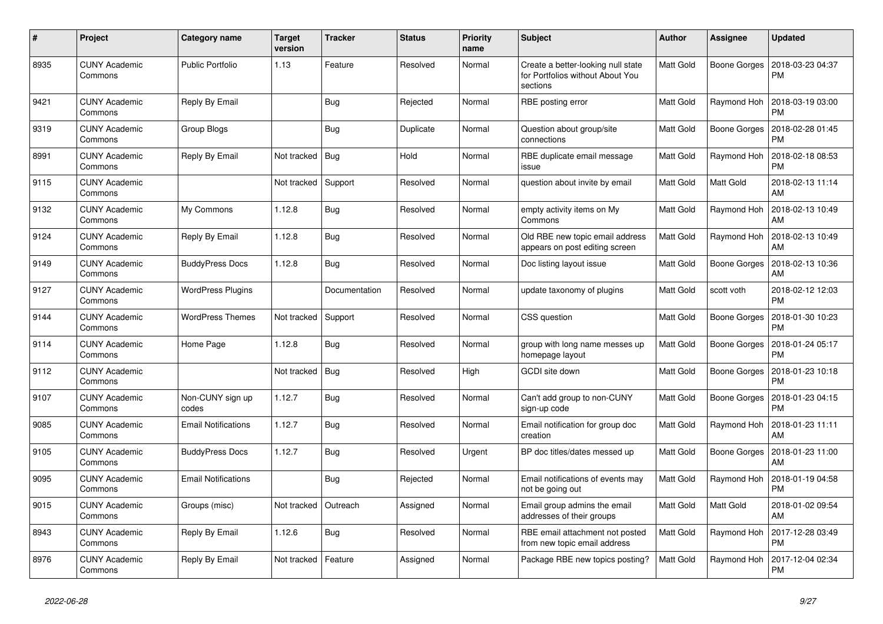| $\#$ | Project                         | Category name              | <b>Target</b><br>version | <b>Tracker</b> | <b>Status</b> | <b>Priority</b><br>name | <b>Subject</b>                                                                     | <b>Author</b>    | <b>Assignee</b> | <b>Updated</b>                |
|------|---------------------------------|----------------------------|--------------------------|----------------|---------------|-------------------------|------------------------------------------------------------------------------------|------------------|-----------------|-------------------------------|
| 8935 | <b>CUNY Academic</b><br>Commons | <b>Public Portfolio</b>    | 1.13                     | Feature        | Resolved      | Normal                  | Create a better-looking null state<br>for Portfolios without About You<br>sections | Matt Gold        | Boone Gorges    | 2018-03-23 04:37<br>PM        |
| 9421 | <b>CUNY Academic</b><br>Commons | <b>Reply By Email</b>      |                          | <b>Bug</b>     | Rejected      | Normal                  | RBE posting error                                                                  | <b>Matt Gold</b> | Raymond Hoh     | 2018-03-19 03:00<br><b>PM</b> |
| 9319 | <b>CUNY Academic</b><br>Commons | Group Blogs                |                          | Bug            | Duplicate     | Normal                  | Question about group/site<br>connections                                           | Matt Gold        | Boone Gorges    | 2018-02-28 01:45<br>PM        |
| 8991 | <b>CUNY Academic</b><br>Commons | Reply By Email             | Not tracked              | <b>Bug</b>     | Hold          | Normal                  | RBE duplicate email message<br>issue                                               | Matt Gold        | Raymond Hoh     | 2018-02-18 08:53<br>PM        |
| 9115 | <b>CUNY Academic</b><br>Commons |                            | Not tracked              | Support        | Resolved      | Normal                  | question about invite by email                                                     | <b>Matt Gold</b> | Matt Gold       | 2018-02-13 11:14<br>AM        |
| 9132 | <b>CUNY Academic</b><br>Commons | My Commons                 | 1.12.8                   | <b>Bug</b>     | Resolved      | Normal                  | empty activity items on My<br>Commons                                              | <b>Matt Gold</b> | Raymond Hoh     | 2018-02-13 10:49<br>AM        |
| 9124 | <b>CUNY Academic</b><br>Commons | Reply By Email             | 1.12.8                   | <b>Bug</b>     | Resolved      | Normal                  | Old RBE new topic email address<br>appears on post editing screen                  | <b>Matt Gold</b> | Raymond Hoh     | 2018-02-13 10:49<br>AM        |
| 9149 | <b>CUNY Academic</b><br>Commons | <b>BuddyPress Docs</b>     | 1.12.8                   | <b>Bug</b>     | Resolved      | Normal                  | Doc listing layout issue                                                           | Matt Gold        | Boone Gorges    | 2018-02-13 10:36<br>AM        |
| 9127 | <b>CUNY Academic</b><br>Commons | <b>WordPress Plugins</b>   |                          | Documentation  | Resolved      | Normal                  | update taxonomy of plugins                                                         | Matt Gold        | scott voth      | 2018-02-12 12:03<br><b>PM</b> |
| 9144 | <b>CUNY Academic</b><br>Commons | <b>WordPress Themes</b>    | Not tracked              | Support        | Resolved      | Normal                  | CSS question                                                                       | Matt Gold        | Boone Gorges    | 2018-01-30 10:23<br>PM        |
| 9114 | <b>CUNY Academic</b><br>Commons | Home Page                  | 1.12.8                   | Bug            | Resolved      | Normal                  | group with long name messes up<br>homepage layout                                  | Matt Gold        | Boone Gorges    | 2018-01-24 05:17<br><b>PM</b> |
| 9112 | <b>CUNY Academic</b><br>Commons |                            | Not tracked              | Bug            | Resolved      | High                    | <b>GCDI</b> site down                                                              | <b>Matt Gold</b> | Boone Gorges    | 2018-01-23 10:18<br>PM        |
| 9107 | <b>CUNY Academic</b><br>Commons | Non-CUNY sign up<br>codes  | 1.12.7                   | Bug            | Resolved      | Normal                  | Can't add group to non-CUNY<br>sign-up code                                        | Matt Gold        | Boone Gorges    | 2018-01-23 04:15<br>PM        |
| 9085 | <b>CUNY Academic</b><br>Commons | <b>Email Notifications</b> | 1.12.7                   | <b>Bug</b>     | Resolved      | Normal                  | Email notification for group doc<br>creation                                       | Matt Gold        | Raymond Hoh     | 2018-01-23 11:11<br>AM        |
| 9105 | <b>CUNY Academic</b><br>Commons | <b>BuddyPress Docs</b>     | 1.12.7                   | <b>Bug</b>     | Resolved      | Urgent                  | BP doc titles/dates messed up                                                      | <b>Matt Gold</b> | Boone Gorges    | 2018-01-23 11:00<br>AM        |
| 9095 | <b>CUNY Academic</b><br>Commons | <b>Email Notifications</b> |                          | <b>Bug</b>     | Rejected      | Normal                  | Email notifications of events may<br>not be going out                              | Matt Gold        | Raymond Hoh     | 2018-01-19 04:58<br>PM        |
| 9015 | <b>CUNY Academic</b><br>Commons | Groups (misc)              | Not tracked              | Outreach       | Assigned      | Normal                  | Email group admins the email<br>addresses of their groups                          | Matt Gold        | Matt Gold       | 2018-01-02 09:54<br><b>AM</b> |
| 8943 | <b>CUNY Academic</b><br>Commons | Reply By Email             | 1.12.6                   | Bug            | Resolved      | Normal                  | RBE email attachment not posted<br>from new topic email address                    | Matt Gold        | Raymond Hoh     | 2017-12-28 03:49<br><b>PM</b> |
| 8976 | <b>CUNY Academic</b><br>Commons | Reply By Email             | Not tracked              | Feature        | Assigned      | Normal                  | Package RBE new topics posting?                                                    | Matt Gold        | Raymond Hoh     | 2017-12-04 02:34<br>PM        |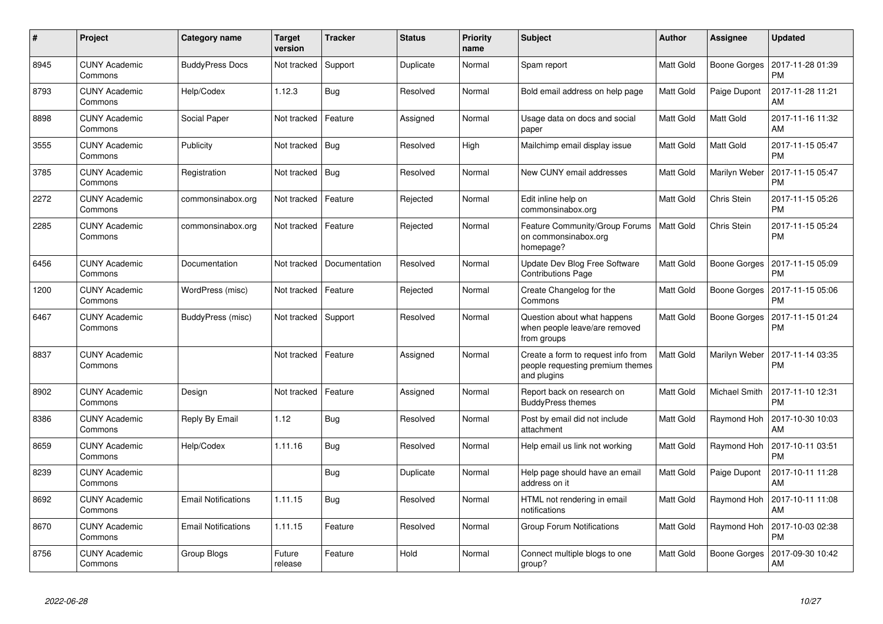| $\pmb{\#}$ | Project                         | Category name              | <b>Target</b><br>version | <b>Tracker</b> | <b>Status</b> | <b>Priority</b><br>name | <b>Subject</b>                                                                        | <b>Author</b>    | Assignee      | <b>Updated</b>                |
|------------|---------------------------------|----------------------------|--------------------------|----------------|---------------|-------------------------|---------------------------------------------------------------------------------------|------------------|---------------|-------------------------------|
| 8945       | <b>CUNY Academic</b><br>Commons | <b>BuddyPress Docs</b>     | Not tracked              | Support        | Duplicate     | Normal                  | Spam report                                                                           | <b>Matt Gold</b> | Boone Gorges  | 2017-11-28 01:39<br>PM        |
| 8793       | CUNY Academic<br>Commons        | Help/Codex                 | 1.12.3                   | <b>Bug</b>     | Resolved      | Normal                  | Bold email address on help page                                                       | <b>Matt Gold</b> | Paige Dupont  | 2017-11-28 11:21<br>AM        |
| 8898       | CUNY Academic<br>Commons        | Social Paper               | Not tracked              | Feature        | Assigned      | Normal                  | Usage data on docs and social<br>paper                                                | <b>Matt Gold</b> | Matt Gold     | 2017-11-16 11:32<br>AM        |
| 3555       | <b>CUNY Academic</b><br>Commons | Publicity                  | Not tracked   Bug        |                | Resolved      | High                    | Mailchimp email display issue                                                         | <b>Matt Gold</b> | Matt Gold     | 2017-11-15 05:47<br>PM        |
| 3785       | <b>CUNY Academic</b><br>Commons | Registration               | Not tracked              | Bug            | Resolved      | Normal                  | New CUNY email addresses                                                              | Matt Gold        | Marilyn Weber | 2017-11-15 05:47<br>PM        |
| 2272       | <b>CUNY Academic</b><br>Commons | commonsinabox.org          | Not tracked              | Feature        | Rejected      | Normal                  | Edit inline help on<br>commonsinabox.org                                              | Matt Gold        | Chris Stein   | 2017-11-15 05:26<br><b>PM</b> |
| 2285       | <b>CUNY Academic</b><br>Commons | commonsinabox.org          | Not tracked              | Feature        | Rejected      | Normal                  | Feature Community/Group Forums<br>on commonsinabox.org<br>homepage?                   | <b>Matt Gold</b> | Chris Stein   | 2017-11-15 05:24<br>PM        |
| 6456       | CUNY Academic<br>Commons        | Documentation              | Not tracked              | Documentation  | Resolved      | Normal                  | Update Dev Blog Free Software<br><b>Contributions Page</b>                            | <b>Matt Gold</b> | Boone Gorges  | 2017-11-15 05:09<br><b>PM</b> |
| 1200       | CUNY Academic<br>Commons        | WordPress (misc)           | Not tracked              | Feature        | Rejected      | Normal                  | Create Changelog for the<br>Commons                                                   | Matt Gold        | Boone Gorges  | 2017-11-15 05:06<br>PM        |
| 6467       | <b>CUNY Academic</b><br>Commons | BuddyPress (misc)          | Not tracked              | Support        | Resolved      | Normal                  | Question about what happens<br>when people leave/are removed<br>from groups           | Matt Gold        | Boone Gorges  | 2017-11-15 01:24<br>РM        |
| 8837       | <b>CUNY Academic</b><br>Commons |                            | Not tracked              | Feature        | Assigned      | Normal                  | Create a form to request info from<br>people requesting premium themes<br>and plugins | Matt Gold        | Marilyn Weber | 2017-11-14 03:35<br>PM        |
| 8902       | <b>CUNY Academic</b><br>Commons | Design                     | Not tracked              | Feature        | Assigned      | Normal                  | Report back on research on<br><b>BuddyPress themes</b>                                | Matt Gold        | Michael Smith | 2017-11-10 12:31<br><b>PM</b> |
| 8386       | <b>CUNY Academic</b><br>Commons | Reply By Email             | 1.12                     | Bug            | Resolved      | Normal                  | Post by email did not include<br>attachment                                           | <b>Matt Gold</b> | Raymond Hoh   | 2017-10-30 10:03<br>AM        |
| 8659       | <b>CUNY Academic</b><br>Commons | Help/Codex                 | 1.11.16                  | Bug            | Resolved      | Normal                  | Help email us link not working                                                        | <b>Matt Gold</b> | Raymond Hoh   | 2017-10-11 03:51<br><b>PM</b> |
| 8239       | <b>CUNY Academic</b><br>Commons |                            |                          | Bug            | Duplicate     | Normal                  | Help page should have an email<br>address on it                                       | Matt Gold        | Paige Dupont  | 2017-10-11 11:28<br>AM        |
| 8692       | <b>CUNY Academic</b><br>Commons | <b>Email Notifications</b> | 1.11.15                  | <b>Bug</b>     | Resolved      | Normal                  | HTML not rendering in email<br>notifications                                          | Matt Gold        | Raymond Hoh   | 2017-10-11 11:08<br>AM        |
| 8670       | <b>CUNY Academic</b><br>Commons | <b>Email Notifications</b> | 1.11.15                  | Feature        | Resolved      | Normal                  | <b>Group Forum Notifications</b>                                                      | <b>Matt Gold</b> | Raymond Hoh   | 2017-10-03 02:38<br>PM        |
| 8756       | CUNY Academic<br>Commons        | Group Blogs                | Future<br>release        | Feature        | Hold          | Normal                  | Connect multiple blogs to one<br>group?                                               | <b>Matt Gold</b> | Boone Gorges  | 2017-09-30 10:42<br>AM        |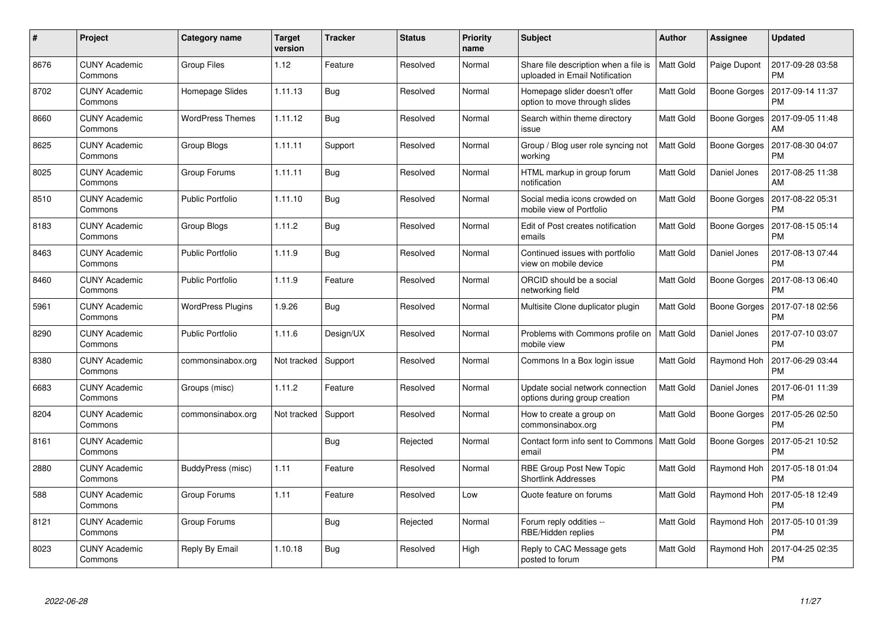| $\#$ | Project                         | Category name            | <b>Target</b><br>version | <b>Tracker</b> | <b>Status</b> | <b>Priority</b><br>name | <b>Subject</b>                                                          | <b>Author</b>    | <b>Assignee</b>     | <b>Updated</b>                |
|------|---------------------------------|--------------------------|--------------------------|----------------|---------------|-------------------------|-------------------------------------------------------------------------|------------------|---------------------|-------------------------------|
| 8676 | <b>CUNY Academic</b><br>Commons | <b>Group Files</b>       | 1.12                     | Feature        | Resolved      | Normal                  | Share file description when a file is<br>uploaded in Email Notification | <b>Matt Gold</b> | Paige Dupont        | 2017-09-28 03:58<br><b>PM</b> |
| 8702 | CUNY Academic<br>Commons        | Homepage Slides          | 1.11.13                  | <b>Bug</b>     | Resolved      | Normal                  | Homepage slider doesn't offer<br>option to move through slides          | Matt Gold        | Boone Gorges        | 2017-09-14 11:37<br><b>PM</b> |
| 8660 | <b>CUNY Academic</b><br>Commons | <b>WordPress Themes</b>  | 1.11.12                  | Bug            | Resolved      | Normal                  | Search within theme directory<br>issue                                  | Matt Gold        | <b>Boone Gorges</b> | 2017-09-05 11:48<br>AM        |
| 8625 | <b>CUNY Academic</b><br>Commons | Group Blogs              | 1.11.11                  | Support        | Resolved      | Normal                  | Group / Blog user role syncing not<br>working                           | Matt Gold        | Boone Gorges        | 2017-08-30 04:07<br><b>PM</b> |
| 8025 | <b>CUNY Academic</b><br>Commons | Group Forums             | 1.11.11                  | Bug            | Resolved      | Normal                  | HTML markup in group forum<br>notification                              | Matt Gold        | Daniel Jones        | 2017-08-25 11:38<br>AM        |
| 8510 | <b>CUNY Academic</b><br>Commons | <b>Public Portfolio</b>  | 1.11.10                  | <b>Bug</b>     | Resolved      | Normal                  | Social media icons crowded on<br>mobile view of Portfolio               | Matt Gold        | Boone Gorges        | 2017-08-22 05:31<br><b>PM</b> |
| 8183 | <b>CUNY Academic</b><br>Commons | Group Blogs              | 1.11.2                   | Bug            | Resolved      | Normal                  | Edit of Post creates notification<br>emails                             | Matt Gold        | <b>Boone Gorges</b> | 2017-08-15 05:14<br><b>PM</b> |
| 8463 | <b>CUNY Academic</b><br>Commons | Public Portfolio         | 1.11.9                   | Bug            | Resolved      | Normal                  | Continued issues with portfolio<br>view on mobile device                | Matt Gold        | Daniel Jones        | 2017-08-13 07:44<br><b>PM</b> |
| 8460 | <b>CUNY Academic</b><br>Commons | <b>Public Portfolio</b>  | 1.11.9                   | Feature        | Resolved      | Normal                  | ORCID should be a social<br>networking field                            | Matt Gold        | Boone Gorges        | 2017-08-13 06:40<br><b>PM</b> |
| 5961 | <b>CUNY Academic</b><br>Commons | <b>WordPress Plugins</b> | 1.9.26                   | Bug            | Resolved      | Normal                  | Multisite Clone duplicator plugin                                       | Matt Gold        | Boone Gorges        | 2017-07-18 02:56<br><b>PM</b> |
| 8290 | <b>CUNY Academic</b><br>Commons | <b>Public Portfolio</b>  | 1.11.6                   | Design/UX      | Resolved      | Normal                  | Problems with Commons profile on<br>mobile view                         | <b>Matt Gold</b> | Daniel Jones        | 2017-07-10 03:07<br><b>PM</b> |
| 8380 | <b>CUNY Academic</b><br>Commons | commonsinabox.org        | Not tracked              | Support        | Resolved      | Normal                  | Commons In a Box login issue                                            | Matt Gold        | Raymond Hoh         | 2017-06-29 03:44<br><b>PM</b> |
| 6683 | <b>CUNY Academic</b><br>Commons | Groups (misc)            | 1.11.2                   | Feature        | Resolved      | Normal                  | Update social network connection<br>options during group creation       | Matt Gold        | Daniel Jones        | 2017-06-01 11:39<br><b>PM</b> |
| 8204 | <b>CUNY Academic</b><br>Commons | commonsinabox.org        | Not tracked              | Support        | Resolved      | Normal                  | How to create a group on<br>commonsinabox.org                           | Matt Gold        | <b>Boone Gorges</b> | 2017-05-26 02:50<br><b>PM</b> |
| 8161 | <b>CUNY Academic</b><br>Commons |                          |                          | <b>Bug</b>     | Rejected      | Normal                  | Contact form info sent to Commons<br>email                              | <b>Matt Gold</b> | <b>Boone Gorges</b> | 2017-05-21 10:52<br><b>PM</b> |
| 2880 | <b>CUNY Academic</b><br>Commons | BuddyPress (misc)        | 1.11                     | Feature        | Resolved      | Normal                  | RBE Group Post New Topic<br><b>Shortlink Addresses</b>                  | Matt Gold        | Raymond Hoh         | 2017-05-18 01:04<br><b>PM</b> |
| 588  | <b>CUNY Academic</b><br>Commons | Group Forums             | 1.11                     | Feature        | Resolved      | Low                     | Quote feature on forums                                                 | Matt Gold        | Raymond Hoh         | 2017-05-18 12:49<br><b>PM</b> |
| 8121 | <b>CUNY Academic</b><br>Commons | Group Forums             |                          | Bug            | Rejected      | Normal                  | Forum reply oddities --<br>RBE/Hidden replies                           | Matt Gold        | Raymond Hoh         | 2017-05-10 01:39<br><b>PM</b> |
| 8023 | <b>CUNY Academic</b><br>Commons | Reply By Email           | 1.10.18                  | <b>Bug</b>     | Resolved      | High                    | Reply to CAC Message gets<br>posted to forum                            | Matt Gold        | Raymond Hoh         | 2017-04-25 02:35<br>PM        |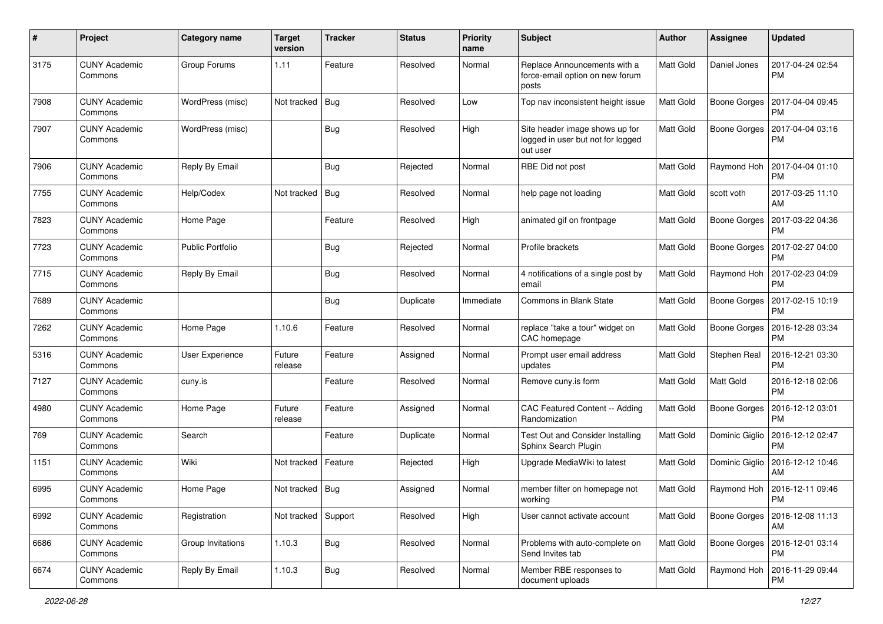| #    | Project                         | Category name           | <b>Target</b><br>version | <b>Tracker</b> | <b>Status</b> | <b>Priority</b><br>name | <b>Subject</b>                                                                  | Author           | <b>Assignee</b>     | <b>Updated</b>                |
|------|---------------------------------|-------------------------|--------------------------|----------------|---------------|-------------------------|---------------------------------------------------------------------------------|------------------|---------------------|-------------------------------|
| 3175 | <b>CUNY Academic</b><br>Commons | Group Forums            | 1.11                     | Feature        | Resolved      | Normal                  | Replace Announcements with a<br>force-email option on new forum<br>posts        | <b>Matt Gold</b> | Daniel Jones        | 2017-04-24 02:54<br><b>PM</b> |
| 7908 | <b>CUNY Academic</b><br>Commons | WordPress (misc)        | Not tracked              | Bug            | Resolved      | Low                     | Top nav inconsistent height issue                                               | <b>Matt Gold</b> | Boone Gorges        | 2017-04-04 09:45<br>РM        |
| 7907 | <b>CUNY Academic</b><br>Commons | WordPress (misc)        |                          | <b>Bug</b>     | Resolved      | High                    | Site header image shows up for<br>logged in user but not for logged<br>out user | Matt Gold        | Boone Gorges        | 2017-04-04 03:16<br><b>PM</b> |
| 7906 | <b>CUNY Academic</b><br>Commons | Reply By Email          |                          | <b>Bug</b>     | Rejected      | Normal                  | RBE Did not post                                                                | <b>Matt Gold</b> | Raymond Hoh         | 2017-04-04 01:10<br><b>PM</b> |
| 7755 | <b>CUNY Academic</b><br>Commons | Help/Codex              | Not tracked              | <b>Bug</b>     | Resolved      | Normal                  | help page not loading                                                           | Matt Gold        | scott voth          | 2017-03-25 11:10<br>AM        |
| 7823 | <b>CUNY Academic</b><br>Commons | Home Page               |                          | Feature        | Resolved      | High                    | animated gif on frontpage                                                       | <b>Matt Gold</b> | <b>Boone Gorges</b> | 2017-03-22 04:36<br>PM        |
| 7723 | <b>CUNY Academic</b><br>Commons | <b>Public Portfolio</b> |                          | <b>Bug</b>     | Rejected      | Normal                  | Profile brackets                                                                | Matt Gold        | Boone Gorges        | 2017-02-27 04:00<br>PM        |
| 7715 | <b>CUNY Academic</b><br>Commons | Reply By Email          |                          | <b>Bug</b>     | Resolved      | Normal                  | 4 notifications of a single post by<br>email                                    | <b>Matt Gold</b> | Raymond Hoh         | 2017-02-23 04:09<br><b>PM</b> |
| 7689 | <b>CUNY Academic</b><br>Commons |                         |                          | Bug            | Duplicate     | Immediate               | Commons in Blank State                                                          | <b>Matt Gold</b> | Boone Gorges        | 2017-02-15 10:19<br>РM        |
| 7262 | <b>CUNY Academic</b><br>Commons | Home Page               | 1.10.6                   | Feature        | Resolved      | Normal                  | replace "take a tour" widget on<br>CAC homepage                                 | Matt Gold        | <b>Boone Gorges</b> | 2016-12-28 03:34<br>PM        |
| 5316 | <b>CUNY Academic</b><br>Commons | <b>User Experience</b>  | Future<br>release        | Feature        | Assigned      | Normal                  | Prompt user email address<br>updates                                            | <b>Matt Gold</b> | Stephen Real        | 2016-12-21 03:30<br><b>PM</b> |
| 7127 | <b>CUNY Academic</b><br>Commons | cuny.is                 |                          | Feature        | Resolved      | Normal                  | Remove cuny.is form                                                             | Matt Gold        | Matt Gold           | 2016-12-18 02:06<br>PM        |
| 4980 | <b>CUNY Academic</b><br>Commons | Home Page               | Future<br>release        | Feature        | Assigned      | Normal                  | CAC Featured Content -- Adding<br>Randomization                                 | <b>Matt Gold</b> | <b>Boone Gorges</b> | 2016-12-12 03:01<br>PM        |
| 769  | <b>CUNY Academic</b><br>Commons | Search                  |                          | Feature        | Duplicate     | Normal                  | Test Out and Consider Installing<br>Sphinx Search Plugin                        | <b>Matt Gold</b> | Dominic Giglio      | 2016-12-12 02:47<br>PM        |
| 1151 | <b>CUNY Academic</b><br>Commons | Wiki                    | Not tracked              | Feature        | Rejected      | High                    | Upgrade MediaWiki to latest                                                     | Matt Gold        | Dominic Giglio      | 2016-12-12 10:46<br>AM        |
| 6995 | <b>CUNY Academic</b><br>Commons | Home Page               | Not tracked   Bug        |                | Assigned      | Normal                  | member filter on homepage not<br>working                                        | <b>Matt Gold</b> | Raymond Hoh         | 2016-12-11 09:46<br>PM        |
| 6992 | <b>CUNY Academic</b><br>Commons | Registration            | Not tracked              | Support        | Resolved      | High                    | User cannot activate account                                                    | Matt Gold        | Boone Gorges        | 2016-12-08 11:13<br>AM        |
| 6686 | <b>CUNY Academic</b><br>Commons | Group Invitations       | 1.10.3                   | Bug            | Resolved      | Normal                  | Problems with auto-complete on<br>Send Invites tab                              | Matt Gold        | Boone Gorges        | 2016-12-01 03:14<br><b>PM</b> |
| 6674 | <b>CUNY Academic</b><br>Commons | Reply By Email          | 1.10.3                   | Bug            | Resolved      | Normal                  | Member RBE responses to<br>document uploads                                     | Matt Gold        | Raymond Hoh         | 2016-11-29 09:44<br><b>PM</b> |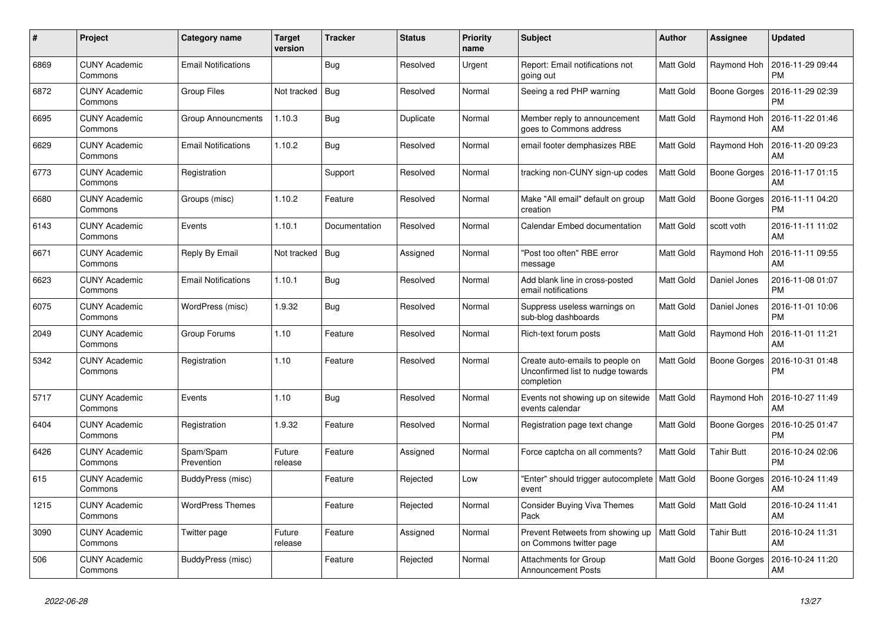| #    | Project                         | <b>Category name</b>       | <b>Target</b><br>version | <b>Tracker</b> | <b>Status</b> | <b>Priority</b><br>name | <b>Subject</b>                                                                     | <b>Author</b>    | <b>Assignee</b>     | <b>Updated</b>                |
|------|---------------------------------|----------------------------|--------------------------|----------------|---------------|-------------------------|------------------------------------------------------------------------------------|------------------|---------------------|-------------------------------|
| 6869 | <b>CUNY Academic</b><br>Commons | <b>Email Notifications</b> |                          | Bug            | Resolved      | Urgent                  | Report: Email notifications not<br>going out                                       | Matt Gold        | Raymond Hoh         | 2016-11-29 09:44<br><b>PM</b> |
| 6872 | <b>CUNY Academic</b><br>Commons | <b>Group Files</b>         | Not tracked              | Bug            | Resolved      | Normal                  | Seeing a red PHP warning                                                           | Matt Gold        | <b>Boone Gorges</b> | 2016-11-29 02:39<br><b>PM</b> |
| 6695 | <b>CUNY Academic</b><br>Commons | <b>Group Announcments</b>  | 1.10.3                   | Bug            | Duplicate     | Normal                  | Member reply to announcement<br>goes to Commons address                            | Matt Gold        | Raymond Hoh         | 2016-11-22 01:46<br>AM        |
| 6629 | <b>CUNY Academic</b><br>Commons | <b>Email Notifications</b> | 1.10.2                   | <b>Bug</b>     | Resolved      | Normal                  | email footer demphasizes RBE                                                       | Matt Gold        | Raymond Hoh         | 2016-11-20 09:23<br>AM        |
| 6773 | <b>CUNY Academic</b><br>Commons | Registration               |                          | Support        | Resolved      | Normal                  | tracking non-CUNY sign-up codes                                                    | Matt Gold        | Boone Gorges        | 2016-11-17 01:15<br>AM        |
| 6680 | <b>CUNY Academic</b><br>Commons | Groups (misc)              | 1.10.2                   | Feature        | Resolved      | Normal                  | Make "All email" default on group<br>creation                                      | Matt Gold        | <b>Boone Gorges</b> | 2016-11-11 04:20<br><b>PM</b> |
| 6143 | <b>CUNY Academic</b><br>Commons | Events                     | 1.10.1                   | Documentation  | Resolved      | Normal                  | Calendar Embed documentation                                                       | Matt Gold        | scott voth          | 2016-11-11 11:02<br>AM        |
| 6671 | <b>CUNY Academic</b><br>Commons | Reply By Email             | Not tracked              | Bug            | Assigned      | Normal                  | "Post too often" RBE error<br>message                                              | Matt Gold        | Raymond Hoh         | 2016-11-11 09:55<br>AM        |
| 6623 | <b>CUNY Academic</b><br>Commons | <b>Email Notifications</b> | 1.10.1                   | <b>Bug</b>     | Resolved      | Normal                  | Add blank line in cross-posted<br>email notifications                              | Matt Gold        | Daniel Jones        | 2016-11-08 01:07<br><b>PM</b> |
| 6075 | <b>CUNY Academic</b><br>Commons | WordPress (misc)           | 1.9.32                   | Bug            | Resolved      | Normal                  | Suppress useless warnings on<br>sub-blog dashboards                                | Matt Gold        | Daniel Jones        | 2016-11-01 10:06<br><b>PM</b> |
| 2049 | <b>CUNY Academic</b><br>Commons | Group Forums               | 1.10                     | Feature        | Resolved      | Normal                  | Rich-text forum posts                                                              | Matt Gold        | Raymond Hoh         | 2016-11-01 11:21<br>AM        |
| 5342 | <b>CUNY Academic</b><br>Commons | Registration               | 1.10                     | Feature        | Resolved      | Normal                  | Create auto-emails to people on<br>Unconfirmed list to nudge towards<br>completion | Matt Gold        | <b>Boone Gorges</b> | 2016-10-31 01:48<br><b>PM</b> |
| 5717 | <b>CUNY Academic</b><br>Commons | Events                     | 1.10                     | <b>Bug</b>     | Resolved      | Normal                  | Events not showing up on sitewide<br>events calendar                               | Matt Gold        | Raymond Hoh         | 2016-10-27 11:49<br>AM        |
| 6404 | <b>CUNY Academic</b><br>Commons | Registration               | 1.9.32                   | Feature        | Resolved      | Normal                  | Registration page text change                                                      | Matt Gold        | Boone Gorges        | 2016-10-25 01:47<br><b>PM</b> |
| 6426 | <b>CUNY Academic</b><br>Commons | Spam/Spam<br>Prevention    | Future<br>release        | Feature        | Assigned      | Normal                  | Force captcha on all comments?                                                     | <b>Matt Gold</b> | <b>Tahir Butt</b>   | 2016-10-24 02:06<br><b>PM</b> |
| 615  | <b>CUNY Academic</b><br>Commons | BuddyPress (misc)          |                          | Feature        | Rejected      | Low                     | "Enter" should trigger autocomplete   Matt Gold<br>event                           |                  | <b>Boone Gorges</b> | 2016-10-24 11:49<br>AM        |
| 1215 | <b>CUNY Academic</b><br>Commons | <b>WordPress Themes</b>    |                          | Feature        | Rejected      | Normal                  | <b>Consider Buying Viva Themes</b><br>Pack                                         | Matt Gold        | Matt Gold           | 2016-10-24 11:41<br>AM        |
| 3090 | <b>CUNY Academic</b><br>Commons | Twitter page               | Future<br>release        | Feature        | Assigned      | Normal                  | Prevent Retweets from showing up<br>on Commons twitter page                        | <b>Matt Gold</b> | <b>Tahir Butt</b>   | 2016-10-24 11:31<br>AM        |
| 506  | <b>CUNY Academic</b><br>Commons | BuddyPress (misc)          |                          | Feature        | Rejected      | Normal                  | <b>Attachments for Group</b><br><b>Announcement Posts</b>                          | Matt Gold        | <b>Boone Gorges</b> | 2016-10-24 11:20<br>AM        |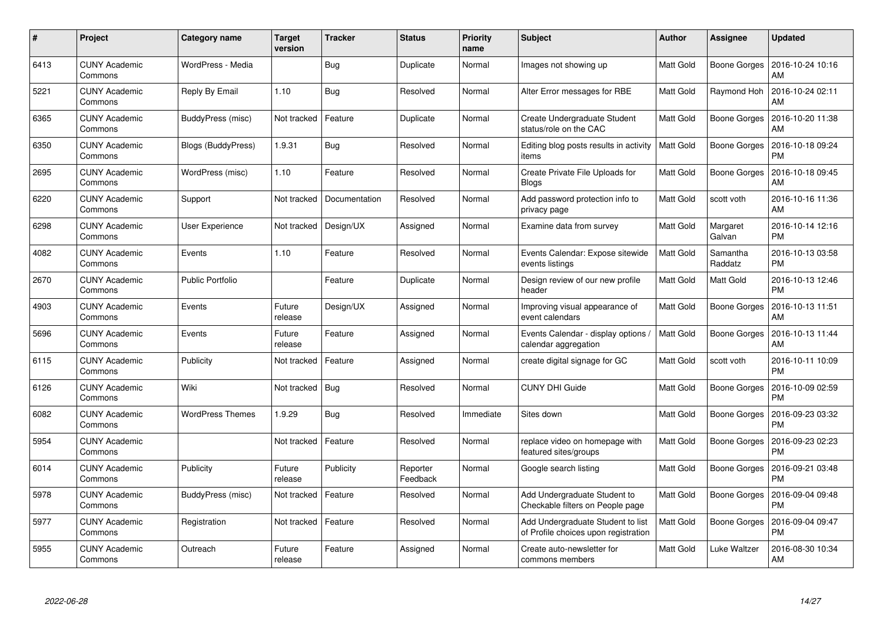| #    | Project                         | <b>Category name</b>    | <b>Target</b><br>version | <b>Tracker</b> | <b>Status</b>        | <b>Priority</b><br>name | <b>Subject</b>                                                            | Author           | <b>Assignee</b>     | <b>Updated</b>                |
|------|---------------------------------|-------------------------|--------------------------|----------------|----------------------|-------------------------|---------------------------------------------------------------------------|------------------|---------------------|-------------------------------|
| 6413 | <b>CUNY Academic</b><br>Commons | WordPress - Media       |                          | <b>Bug</b>     | Duplicate            | Normal                  | Images not showing up                                                     | Matt Gold        | Boone Gorges        | 2016-10-24 10:16<br>AM        |
| 5221 | <b>CUNY Academic</b><br>Commons | Reply By Email          | 1.10                     | Bug            | Resolved             | Normal                  | Alter Error messages for RBE                                              | Matt Gold        | Raymond Hoh         | 2016-10-24 02:11<br>AM        |
| 6365 | <b>CUNY Academic</b><br>Commons | BuddyPress (misc)       | Not tracked              | Feature        | Duplicate            | Normal                  | Create Undergraduate Student<br>status/role on the CAC                    | Matt Gold        | <b>Boone Gorges</b> | 2016-10-20 11:38<br>AM        |
| 6350 | <b>CUNY Academic</b><br>Commons | Blogs (BuddyPress)      | 1.9.31                   | Bug            | Resolved             | Normal                  | Editing blog posts results in activity<br>items                           | <b>Matt Gold</b> | Boone Gorges        | 2016-10-18 09:24<br><b>PM</b> |
| 2695 | <b>CUNY Academic</b><br>Commons | WordPress (misc)        | 1.10                     | Feature        | Resolved             | Normal                  | Create Private File Uploads for<br><b>Blogs</b>                           | Matt Gold        | Boone Gorges        | 2016-10-18 09:45<br>AM        |
| 6220 | <b>CUNY Academic</b><br>Commons | Support                 | Not tracked              | Documentation  | Resolved             | Normal                  | Add password protection info to<br>privacy page                           | Matt Gold        | scott voth          | 2016-10-16 11:36<br>AM        |
| 6298 | <b>CUNY Academic</b><br>Commons | User Experience         | Not tracked              | Design/UX      | Assigned             | Normal                  | Examine data from survey                                                  | Matt Gold        | Margaret<br>Galvan  | 2016-10-14 12:16<br><b>PM</b> |
| 4082 | <b>CUNY Academic</b><br>Commons | Events                  | 1.10                     | Feature        | Resolved             | Normal                  | Events Calendar: Expose sitewide<br>events listings                       | Matt Gold        | Samantha<br>Raddatz | 2016-10-13 03:58<br><b>PM</b> |
| 2670 | <b>CUNY Academic</b><br>Commons | Public Portfolio        |                          | Feature        | Duplicate            | Normal                  | Design review of our new profile<br>header                                | Matt Gold        | <b>Matt Gold</b>    | 2016-10-13 12:46<br><b>PM</b> |
| 4903 | <b>CUNY Academic</b><br>Commons | Events                  | Future<br>release        | Design/UX      | Assigned             | Normal                  | Improving visual appearance of<br>event calendars                         | Matt Gold        | Boone Gorges        | 2016-10-13 11:51<br>AM        |
| 5696 | <b>CUNY Academic</b><br>Commons | Events                  | Future<br>release        | Feature        | Assigned             | Normal                  | Events Calendar - display options /<br>calendar aggregation               | <b>Matt Gold</b> | <b>Boone Gorges</b> | 2016-10-13 11:44<br>AM        |
| 6115 | <b>CUNY Academic</b><br>Commons | Publicity               | Not tracked              | Feature        | Assigned             | Normal                  | create digital signage for GC                                             | Matt Gold        | scott voth          | 2016-10-11 10:09<br><b>PM</b> |
| 6126 | <b>CUNY Academic</b><br>Commons | Wiki                    | Not tracked              | <b>Bug</b>     | Resolved             | Normal                  | <b>CUNY DHI Guide</b>                                                     | Matt Gold        | Boone Gorges        | 2016-10-09 02:59<br><b>PM</b> |
| 6082 | <b>CUNY Academic</b><br>Commons | <b>WordPress Themes</b> | 1.9.29                   | <b>Bug</b>     | Resolved             | Immediate               | Sites down                                                                | Matt Gold        | Boone Gorges        | 2016-09-23 03:32<br><b>PM</b> |
| 5954 | <b>CUNY Academic</b><br>Commons |                         | Not tracked              | Feature        | Resolved             | Normal                  | replace video on homepage with<br>featured sites/groups                   | Matt Gold        | <b>Boone Gorges</b> | 2016-09-23 02:23<br><b>PM</b> |
| 6014 | <b>CUNY Academic</b><br>Commons | Publicity               | Future<br>release        | Publicity      | Reporter<br>Feedback | Normal                  | Google search listing                                                     | Matt Gold        | Boone Gorges        | 2016-09-21 03:48<br><b>PM</b> |
| 5978 | <b>CUNY Academic</b><br>Commons | BuddyPress (misc)       | Not tracked              | Feature        | Resolved             | Normal                  | Add Undergraduate Student to<br>Checkable filters on People page          | <b>Matt Gold</b> | Boone Gorges        | 2016-09-04 09:48<br><b>PM</b> |
| 5977 | <b>CUNY Academic</b><br>Commons | Registration            | Not tracked              | Feature        | Resolved             | Normal                  | Add Undergraduate Student to list<br>of Profile choices upon registration | Matt Gold        | <b>Boone Gorges</b> | 2016-09-04 09:47<br><b>PM</b> |
| 5955 | <b>CUNY Academic</b><br>Commons | Outreach                | Future<br>release        | Feature        | Assigned             | Normal                  | Create auto-newsletter for<br>commons members                             | Matt Gold        | Luke Waltzer        | 2016-08-30 10:34<br>AM        |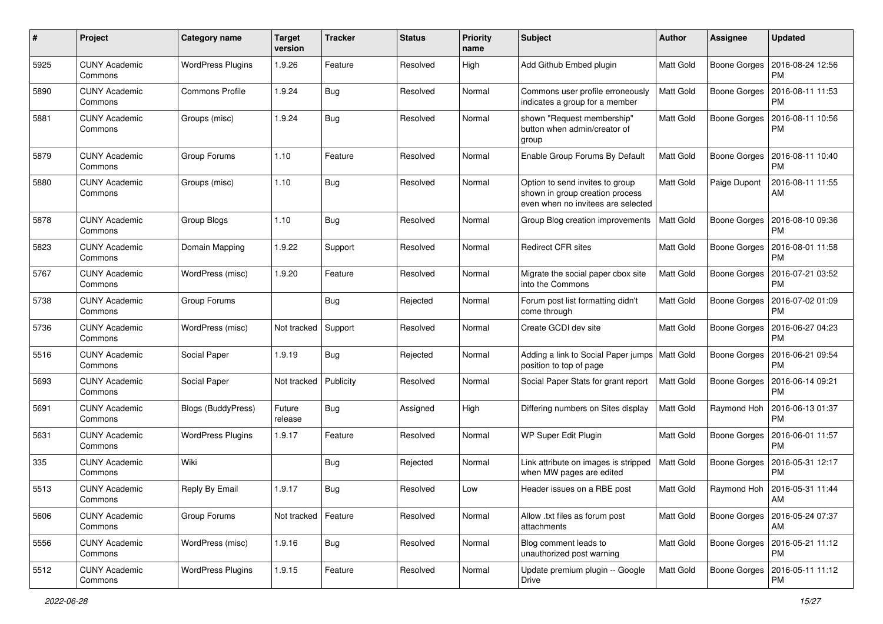| #    | Project                         | <b>Category name</b>     | <b>Target</b><br>version | <b>Tracker</b> | <b>Status</b> | <b>Priority</b><br>name | Subject                                                                                                  | Author           | Assignee            | <b>Updated</b>                |
|------|---------------------------------|--------------------------|--------------------------|----------------|---------------|-------------------------|----------------------------------------------------------------------------------------------------------|------------------|---------------------|-------------------------------|
| 5925 | <b>CUNY Academic</b><br>Commons | <b>WordPress Plugins</b> | 1.9.26                   | Feature        | Resolved      | High                    | Add Github Embed plugin                                                                                  | <b>Matt Gold</b> | Boone Gorges        | 2016-08-24 12:56<br><b>PM</b> |
| 5890 | <b>CUNY Academic</b><br>Commons | <b>Commons Profile</b>   | 1.9.24                   | Bug            | Resolved      | Normal                  | Commons user profile erroneously<br>indicates a group for a member                                       | <b>Matt Gold</b> | Boone Gorges        | 2016-08-11 11:53<br><b>PM</b> |
| 5881 | <b>CUNY Academic</b><br>Commons | Groups (misc)            | 1.9.24                   | Bug            | Resolved      | Normal                  | shown "Request membership"<br>button when admin/creator of<br>group                                      | Matt Gold        | <b>Boone Gorges</b> | 2016-08-11 10:56<br><b>PM</b> |
| 5879 | <b>CUNY Academic</b><br>Commons | Group Forums             | 1.10                     | Feature        | Resolved      | Normal                  | Enable Group Forums By Default                                                                           | <b>Matt Gold</b> | <b>Boone Gorges</b> | 2016-08-11 10:40<br><b>PM</b> |
| 5880 | <b>CUNY Academic</b><br>Commons | Groups (misc)            | 1.10                     | Bug            | Resolved      | Normal                  | Option to send invites to group<br>shown in group creation process<br>even when no invitees are selected | <b>Matt Gold</b> | Paige Dupont        | 2016-08-11 11:55<br>AM        |
| 5878 | <b>CUNY Academic</b><br>Commons | Group Blogs              | 1.10                     | <b>Bug</b>     | Resolved      | Normal                  | Group Blog creation improvements                                                                         | Matt Gold        | <b>Boone Gorges</b> | 2016-08-10 09:36<br><b>PM</b> |
| 5823 | <b>CUNY Academic</b><br>Commons | Domain Mapping           | 1.9.22                   | Support        | Resolved      | Normal                  | <b>Redirect CFR sites</b>                                                                                | <b>Matt Gold</b> | Boone Gorges        | 2016-08-01 11:58<br><b>PM</b> |
| 5767 | <b>CUNY Academic</b><br>Commons | WordPress (misc)         | 1.9.20                   | Feature        | Resolved      | Normal                  | Migrate the social paper cbox site<br>into the Commons                                                   | Matt Gold        | Boone Gorges        | 2016-07-21 03:52<br><b>PM</b> |
| 5738 | <b>CUNY Academic</b><br>Commons | Group Forums             |                          | Bug            | Rejected      | Normal                  | Forum post list formatting didn't<br>come through                                                        | Matt Gold        | <b>Boone Gorges</b> | 2016-07-02 01:09<br><b>PM</b> |
| 5736 | <b>CUNY Academic</b><br>Commons | WordPress (misc)         | Not tracked              | Support        | Resolved      | Normal                  | Create GCDI dev site                                                                                     | Matt Gold        | <b>Boone Gorges</b> | 2016-06-27 04:23<br><b>PM</b> |
| 5516 | <b>CUNY Academic</b><br>Commons | Social Paper             | 1.9.19                   | Bug            | Rejected      | Normal                  | Adding a link to Social Paper jumps   Matt Gold<br>position to top of page                               |                  | Boone Gorges        | 2016-06-21 09:54<br><b>PM</b> |
| 5693 | <b>CUNY Academic</b><br>Commons | Social Paper             | Not tracked              | Publicity      | Resolved      | Normal                  | Social Paper Stats for grant report                                                                      | Matt Gold        | <b>Boone Gorges</b> | 2016-06-14 09:21<br><b>PM</b> |
| 5691 | <b>CUNY Academic</b><br>Commons | Blogs (BuddyPress)       | Future<br>release        | Bug            | Assigned      | High                    | Differing numbers on Sites display                                                                       | <b>Matt Gold</b> | Raymond Hoh         | 2016-06-13 01:37<br><b>PM</b> |
| 5631 | <b>CUNY Academic</b><br>Commons | <b>WordPress Plugins</b> | 1.9.17                   | Feature        | Resolved      | Normal                  | WP Super Edit Plugin                                                                                     | <b>Matt Gold</b> | Boone Gorges        | 2016-06-01 11:57<br><b>PM</b> |
| 335  | <b>CUNY Academic</b><br>Commons | Wiki                     |                          | Bug            | Rejected      | Normal                  | Link attribute on images is stripped<br>when MW pages are edited                                         | Matt Gold        | Boone Gorges        | 2016-05-31 12:17<br><b>PM</b> |
| 5513 | <b>CUNY Academic</b><br>∪ommons | Reply By Email           | 1.9.17                   | Bug            | Resolved      | Low                     | Header issues on a RBE post                                                                              | Matt Gold        | Raymond Hoh         | 2016-05-31 11:44<br>AM        |
| 5606 | <b>CUNY Academic</b><br>Commons | Group Forums             | Not tracked              | Feature        | Resolved      | Normal                  | Allow .txt files as forum post<br>attachments                                                            | Matt Gold        | Boone Gorges        | 2016-05-24 07:37<br>AM        |
| 5556 | <b>CUNY Academic</b><br>Commons | WordPress (misc)         | 1.9.16                   | <b>Bug</b>     | Resolved      | Normal                  | Blog comment leads to<br>unauthorized post warning                                                       | Matt Gold        | Boone Gorges        | 2016-05-21 11:12<br><b>PM</b> |
| 5512 | <b>CUNY Academic</b><br>Commons | <b>WordPress Plugins</b> | 1.9.15                   | Feature        | Resolved      | Normal                  | Update premium plugin -- Google<br><b>Drive</b>                                                          | Matt Gold        | Boone Gorges        | 2016-05-11 11:12<br><b>PM</b> |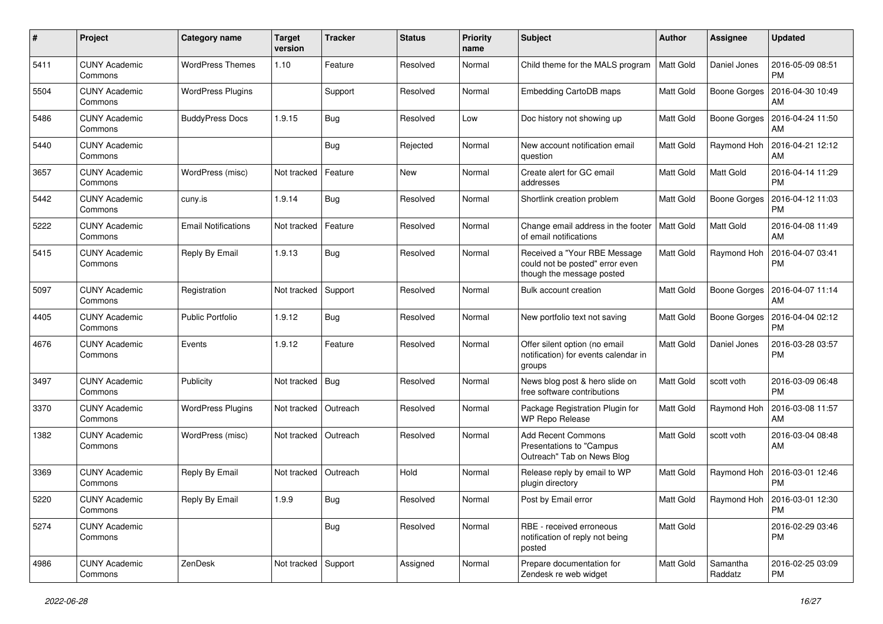| #    | Project                         | Category name              | <b>Target</b><br>version | <b>Tracker</b> | <b>Status</b> | <b>Priority</b><br>name | Subject                                                                                      | Author           | Assignee            | <b>Updated</b>                            |
|------|---------------------------------|----------------------------|--------------------------|----------------|---------------|-------------------------|----------------------------------------------------------------------------------------------|------------------|---------------------|-------------------------------------------|
| 5411 | <b>CUNY Academic</b><br>Commons | <b>WordPress Themes</b>    | 1.10                     | Feature        | Resolved      | Normal                  | Child theme for the MALS program                                                             | Matt Gold        | Daniel Jones        | 2016-05-09 08:51<br>PM                    |
| 5504 | <b>CUNY Academic</b><br>Commons | <b>WordPress Plugins</b>   |                          | Support        | Resolved      | Normal                  | <b>Embedding CartoDB maps</b>                                                                | Matt Gold        | <b>Boone Gorges</b> | 2016-04-30 10:49<br>AM                    |
| 5486 | CUNY Academic<br>Commons        | <b>BuddyPress Docs</b>     | 1.9.15                   | Bug            | Resolved      | Low                     | Doc history not showing up                                                                   | Matt Gold        | Boone Gorges        | 2016-04-24 11:50<br>AM                    |
| 5440 | <b>CUNY Academic</b><br>Commons |                            |                          | <b>Bug</b>     | Rejected      | Normal                  | New account notification email<br>auestion                                                   | Matt Gold        | Raymond Hoh         | 2016-04-21 12:12<br>AM                    |
| 3657 | <b>CUNY Academic</b><br>Commons | WordPress (misc)           | Not tracked              | Feature        | <b>New</b>    | Normal                  | Create alert for GC email<br>addresses                                                       | <b>Matt Gold</b> | Matt Gold           | 2016-04-14 11:29<br><b>PM</b>             |
| 5442 | <b>CUNY Academic</b><br>Commons | cuny.is                    | 1.9.14                   | Bug            | Resolved      | Normal                  | Shortlink creation problem                                                                   | Matt Gold        | Boone Gorges        | 2016-04-12 11:03<br>РM                    |
| 5222 | <b>CUNY Academic</b><br>Commons | <b>Email Notifications</b> | Not tracked              | Feature        | Resolved      | Normal                  | Change email address in the footer<br>of email notifications                                 | <b>Matt Gold</b> | Matt Gold           | 2016-04-08 11:49<br>AM                    |
| 5415 | <b>CUNY Academic</b><br>Commons | Reply By Email             | 1.9.13                   | <b>Bug</b>     | Resolved      | Normal                  | Received a "Your RBE Message<br>could not be posted" error even<br>though the message posted | <b>Matt Gold</b> | Raymond Hoh         | 2016-04-07 03:41<br>PM                    |
| 5097 | <b>CUNY Academic</b><br>Commons | Registration               | Not tracked              | Support        | Resolved      | Normal                  | Bulk account creation                                                                        | <b>Matt Gold</b> | Boone Gorges        | 2016-04-07 11:14<br>AM                    |
| 4405 | <b>CUNY Academic</b><br>Commons | Public Portfolio           | 1.9.12                   | <b>Bug</b>     | Resolved      | Normal                  | New portfolio text not saving                                                                | Matt Gold        | Boone Gorges        | 2016-04-04 02:12<br><b>PM</b>             |
| 4676 | <b>CUNY Academic</b><br>Commons | Events                     | 1.9.12                   | Feature        | Resolved      | Normal                  | Offer silent option (no email<br>notification) for events calendar in<br>groups              | Matt Gold        | Daniel Jones        | 2016-03-28 03:57<br>PM                    |
| 3497 | <b>CUNY Academic</b><br>Commons | Publicity                  | Not tracked              | $ $ Bug        | Resolved      | Normal                  | News blog post & hero slide on<br>free software contributions                                | Matt Gold        | scott voth          | 2016-03-09 06:48<br>PM                    |
| 3370 | <b>CUNY Academic</b><br>Commons | <b>WordPress Plugins</b>   | Not tracked              | Outreach       | Resolved      | Normal                  | Package Registration Plugin for<br>WP Repo Release                                           | Matt Gold        | Raymond Hoh         | 2016-03-08 11:57<br>AM                    |
| 1382 | <b>CUNY Academic</b><br>Commons | WordPress (misc)           | Not tracked              | Outreach       | Resolved      | Normal                  | <b>Add Recent Commons</b><br>Presentations to "Campus<br>Outreach" Tab on News Blog          | Matt Gold        | scott voth          | 2016-03-04 08:48<br>AM                    |
| 3369 | <b>CUNY Academic</b><br>Commons | Reply By Email             | Not tracked              | Outreach       | Hold          | Normal                  | Release reply by email to WP<br>plugin directory                                             | Matt Gold        | Raymond Hoh         | 2016-03-01 12:46<br>PM                    |
| 5220 | <b>CUNY Academic</b><br>Commons | Reply By Email             | 1.9.9                    | <b>Bug</b>     | Resolved      | Normal                  | Post by Email error                                                                          | Matt Gold        |                     | Raymond Hoh 2016-03-01 12:30<br><b>PM</b> |
| 5274 | <b>CUNY Academic</b><br>Commons |                            |                          | <b>Bug</b>     | Resolved      | Normal                  | RBE - received erroneous<br>notification of reply not being<br>posted                        | Matt Gold        |                     | 2016-02-29 03:46<br><b>PM</b>             |
| 4986 | <b>CUNY Academic</b><br>Commons | ZenDesk                    | Not tracked Support      |                | Assigned      | Normal                  | Prepare documentation for<br>Zendesk re web widget                                           | Matt Gold        | Samantha<br>Raddatz | 2016-02-25 03:09<br><b>PM</b>             |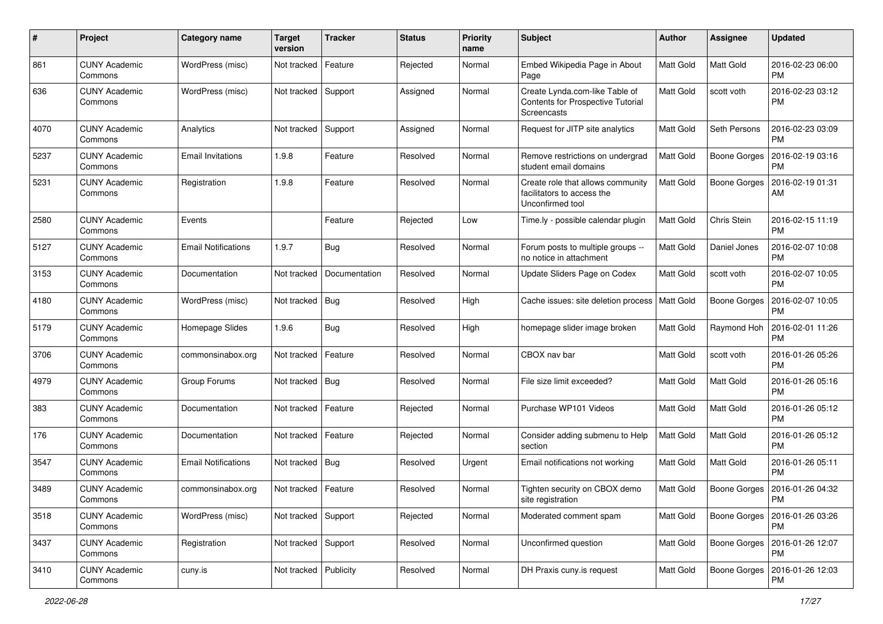| #    | Project                         | Category name              | <b>Target</b><br>version | <b>Tracker</b> | <b>Status</b> | <b>Priority</b><br>name | Subject                                                                             | <b>Author</b>    | <b>Assignee</b>     | <b>Updated</b>                |
|------|---------------------------------|----------------------------|--------------------------|----------------|---------------|-------------------------|-------------------------------------------------------------------------------------|------------------|---------------------|-------------------------------|
| 861  | <b>CUNY Academic</b><br>Commons | WordPress (misc)           | Not tracked              | Feature        | Rejected      | Normal                  | Embed Wikipedia Page in About<br>Page                                               | <b>Matt Gold</b> | <b>Matt Gold</b>    | 2016-02-23 06:00<br><b>PM</b> |
| 636  | <b>CUNY Academic</b><br>Commons | WordPress (misc)           | Not tracked Support      |                | Assigned      | Normal                  | Create Lynda.com-like Table of<br>Contents for Prospective Tutorial<br>Screencasts  | <b>Matt Gold</b> | scott voth          | 2016-02-23 03:12<br>PM        |
| 4070 | <b>CUNY Academic</b><br>Commons | Analytics                  | Not tracked              | Support        | Assigned      | Normal                  | Request for JITP site analytics                                                     | Matt Gold        | Seth Persons        | 2016-02-23 03:09<br>PM        |
| 5237 | CUNY Academic<br>Commons        | Email Invitations          | 1.9.8                    | Feature        | Resolved      | Normal                  | Remove restrictions on undergrad<br>student email domains                           | <b>Matt Gold</b> | <b>Boone Gorges</b> | 2016-02-19 03:16<br>PM        |
| 5231 | <b>CUNY Academic</b><br>Commons | Registration               | 1.9.8                    | Feature        | Resolved      | Normal                  | Create role that allows community<br>facilitators to access the<br>Unconfirmed tool | Matt Gold        | <b>Boone Gorges</b> | 2016-02-19 01:31<br>AM        |
| 2580 | <b>CUNY Academic</b><br>Commons | Events                     |                          | Feature        | Rejected      | Low                     | Time.ly - possible calendar plugin                                                  | <b>Matt Gold</b> | Chris Stein         | 2016-02-15 11:19<br><b>PM</b> |
| 5127 | CUNY Academic<br>Commons        | <b>Email Notifications</b> | 1.9.7                    | <b>Bug</b>     | Resolved      | Normal                  | Forum posts to multiple groups --<br>no notice in attachment                        | <b>Matt Gold</b> | Daniel Jones        | 2016-02-07 10:08<br><b>PM</b> |
| 3153 | <b>CUNY Academic</b><br>Commons | Documentation              | Not tracked              | Documentation  | Resolved      | Normal                  | Update Sliders Page on Codex                                                        | Matt Gold        | scott voth          | 2016-02-07 10:05<br>PM        |
| 4180 | <b>CUNY Academic</b><br>Commons | WordPress (misc)           | Not tracked              | Bug            | Resolved      | High                    | Cache issues: site deletion process                                                 | <b>Matt Gold</b> | <b>Boone Gorges</b> | 2016-02-07 10:05<br>РM        |
| 5179 | <b>CUNY Academic</b><br>Commons | Homepage Slides            | 1.9.6                    | <b>Bug</b>     | Resolved      | High                    | homepage slider image broken                                                        | Matt Gold        | Raymond Hoh         | 2016-02-01 11:26<br>PM        |
| 3706 | <b>CUNY Academic</b><br>Commons | commonsinabox.org          | Not tracked              | Feature        | Resolved      | Normal                  | CBOX nav bar                                                                        | <b>Matt Gold</b> | scott voth          | 2016-01-26 05:26<br><b>PM</b> |
| 4979 | CUNY Academic<br>Commons        | Group Forums               | Not tracked   Bug        |                | Resolved      | Normal                  | File size limit exceeded?                                                           | Matt Gold        | Matt Gold           | 2016-01-26 05:16<br>PM        |
| 383  | <b>CUNY Academic</b><br>Commons | Documentation              | Not tracked              | Feature        | Rejected      | Normal                  | Purchase WP101 Videos                                                               | Matt Gold        | Matt Gold           | 2016-01-26 05:12<br><b>PM</b> |
| 176  | <b>CUNY Academic</b><br>Commons | Documentation              | Not tracked              | Feature        | Rejected      | Normal                  | Consider adding submenu to Help<br>section                                          | <b>Matt Gold</b> | <b>Matt Gold</b>    | 2016-01-26 05:12<br><b>PM</b> |
| 3547 | <b>CUNY Academic</b><br>Commons | <b>Email Notifications</b> | Not tracked   Bug        |                | Resolved      | Urgent                  | Email notifications not working                                                     | <b>Matt Gold</b> | <b>Matt Gold</b>    | 2016-01-26 05:11<br>PM        |
| 3489 | <b>CUNY Academic</b><br>Commons | commonsinabox.org          | Not tracked              | Feature        | Resolved      | Normal                  | Tighten security on CBOX demo<br>site registration                                  | <b>Matt Gold</b> | <b>Boone Gorges</b> | 2016-01-26 04:32<br>PM        |
| 3518 | <b>CUNY Academic</b><br>Commons | WordPress (misc)           | Not tracked              | Support        | Rejected      | Normal                  | Moderated comment spam                                                              | Matt Gold        | Boone Gorges        | 2016-01-26 03:26<br>PM        |
| 3437 | <b>CUNY Academic</b><br>Commons | Registration               | Not tracked Support      |                | Resolved      | Normal                  | Unconfirmed question                                                                | Matt Gold        | Boone Gorges        | 2016-01-26 12:07<br><b>PM</b> |
| 3410 | <b>CUNY Academic</b><br>Commons | cuny.is                    | Not tracked   Publicity  |                | Resolved      | Normal                  | DH Praxis cuny.is request                                                           | Matt Gold        | Boone Gorges        | 2016-01-26 12:03<br>PM        |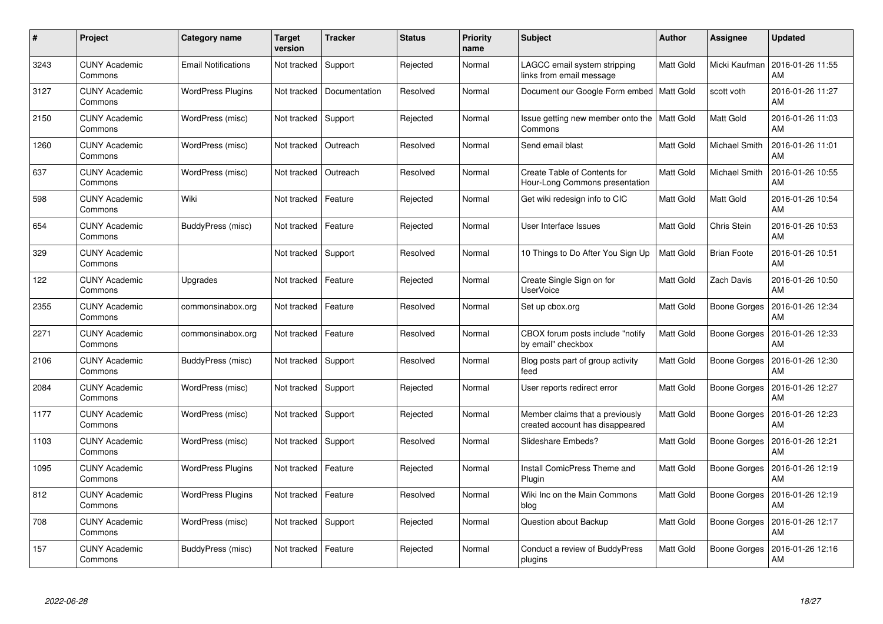| #    | Project                         | <b>Category name</b>       | <b>Target</b><br>version | <b>Tracker</b> | <b>Status</b> | <b>Priority</b><br>name | <b>Subject</b>                                                     | <b>Author</b>    | Assignee            | <b>Updated</b>         |
|------|---------------------------------|----------------------------|--------------------------|----------------|---------------|-------------------------|--------------------------------------------------------------------|------------------|---------------------|------------------------|
| 3243 | <b>CUNY Academic</b><br>Commons | <b>Email Notifications</b> | Not tracked              | Support        | Rejected      | Normal                  | LAGCC email system stripping<br>links from email message           | Matt Gold        | Micki Kaufman       | 2016-01-26 11:55<br>AM |
| 3127 | <b>CUNY Academic</b><br>Commons | <b>WordPress Plugins</b>   | Not tracked              | Documentation  | Resolved      | Normal                  | Document our Google Form embed   Matt Gold                         |                  | scott voth          | 2016-01-26 11:27<br>AM |
| 2150 | <b>CUNY Academic</b><br>Commons | WordPress (misc)           | Not tracked              | Support        | Rejected      | Normal                  | Issue getting new member onto the   Matt Gold<br>Commons           |                  | Matt Gold           | 2016-01-26 11:03<br>AM |
| 1260 | <b>CUNY Academic</b><br>Commons | WordPress (misc)           | Not tracked              | Outreach       | Resolved      | Normal                  | Send email blast                                                   | <b>Matt Gold</b> | Michael Smith       | 2016-01-26 11:01<br>AM |
| 637  | <b>CUNY Academic</b><br>Commons | WordPress (misc)           | Not tracked              | Outreach       | Resolved      | Normal                  | Create Table of Contents for<br>Hour-Long Commons presentation     | Matt Gold        | Michael Smith       | 2016-01-26 10:55<br>AM |
| 598  | <b>CUNY Academic</b><br>Commons | Wiki                       | Not tracked              | Feature        | Rejected      | Normal                  | Get wiki redesign info to CIC                                      | <b>Matt Gold</b> | Matt Gold           | 2016-01-26 10:54<br>AM |
| 654  | <b>CUNY Academic</b><br>Commons | BuddyPress (misc)          | Not tracked              | Feature        | Rejected      | Normal                  | User Interface Issues                                              | <b>Matt Gold</b> | Chris Stein         | 2016-01-26 10:53<br>AM |
| 329  | <b>CUNY Academic</b><br>Commons |                            | Not tracked              | Support        | Resolved      | Normal                  | 10 Things to Do After You Sign Up                                  | <b>Matt Gold</b> | <b>Brian Foote</b>  | 2016-01-26 10:51<br>AM |
| 122  | <b>CUNY Academic</b><br>Commons | Upgrades                   | Not tracked              | Feature        | Rejected      | Normal                  | Create Single Sign on for<br><b>UserVoice</b>                      | Matt Gold        | Zach Davis          | 2016-01-26 10:50<br>AM |
| 2355 | <b>CUNY Academic</b><br>Commons | commonsinabox.org          | Not tracked              | Feature        | Resolved      | Normal                  | Set up cbox.org                                                    | Matt Gold        | Boone Gorges        | 2016-01-26 12:34<br>AM |
| 2271 | <b>CUNY Academic</b><br>Commons | commonsinabox.org          | Not tracked              | Feature        | Resolved      | Normal                  | CBOX forum posts include "notify<br>by email" checkbox             | <b>Matt Gold</b> | <b>Boone Gorges</b> | 2016-01-26 12:33<br>AM |
| 2106 | <b>CUNY Academic</b><br>Commons | BuddyPress (misc)          | Not tracked              | Support        | Resolved      | Normal                  | Blog posts part of group activity<br>feed                          | <b>Matt Gold</b> | Boone Gorges        | 2016-01-26 12:30<br>AM |
| 2084 | <b>CUNY Academic</b><br>Commons | WordPress (misc)           | Not tracked              | Support        | Rejected      | Normal                  | User reports redirect error                                        | Matt Gold        | Boone Gorges        | 2016-01-26 12:27<br>AM |
| 1177 | <b>CUNY Academic</b><br>Commons | WordPress (misc)           | Not tracked              | Support        | Rejected      | Normal                  | Member claims that a previously<br>created account has disappeared | Matt Gold        | <b>Boone Gorges</b> | 2016-01-26 12:23<br>AM |
| 1103 | <b>CUNY Academic</b><br>Commons | WordPress (misc)           | Not tracked              | Support        | Resolved      | Normal                  | Slideshare Embeds?                                                 | <b>Matt Gold</b> | <b>Boone Gorges</b> | 2016-01-26 12:21<br>AM |
| 1095 | <b>CUNY Academic</b><br>Commons | <b>WordPress Plugins</b>   | Not tracked              | Feature        | Rejected      | Normal                  | <b>Install ComicPress Theme and</b><br>Plugin                      | <b>Matt Gold</b> | Boone Gorges        | 2016-01-26 12:19<br>AM |
| 812  | <b>CUNY Academic</b><br>Commons | <b>WordPress Plugins</b>   | Not tracked              | Feature        | Resolved      | Normal                  | Wiki Inc on the Main Commons<br>blog                               | Matt Gold        | Boone Gorges        | 2016-01-26 12:19<br>AM |
| 708  | <b>CUNY Academic</b><br>Commons | WordPress (misc)           | Not tracked              | Support        | Rejected      | Normal                  | Question about Backup                                              | Matt Gold        | <b>Boone Gorges</b> | 2016-01-26 12:17<br>AM |
| 157  | CUNY Academic<br>Commons        | BuddyPress (misc)          | Not tracked              | Feature        | Rejected      | Normal                  | Conduct a review of BuddyPress<br>plugins                          | <b>Matt Gold</b> | Boone Gorges        | 2016-01-26 12:16<br>AM |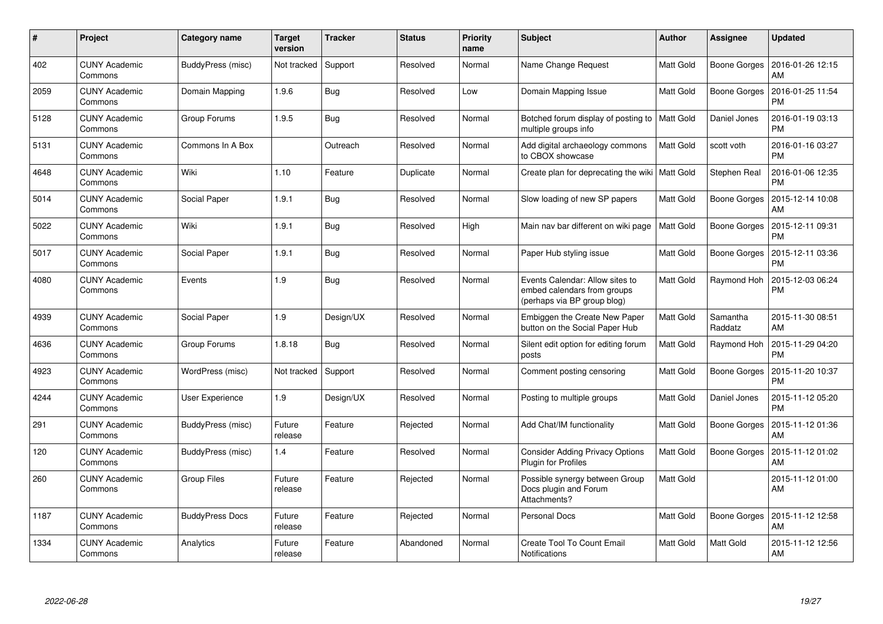| #    | Project                         | <b>Category name</b>   | <b>Target</b><br>version | <b>Tracker</b> | <b>Status</b> | <b>Priority</b><br>name | <b>Subject</b>                                                                                | <b>Author</b>    | Assignee            | <b>Updated</b>                |
|------|---------------------------------|------------------------|--------------------------|----------------|---------------|-------------------------|-----------------------------------------------------------------------------------------------|------------------|---------------------|-------------------------------|
| 402  | <b>CUNY Academic</b><br>Commons | BuddyPress (misc)      | Not tracked              | Support        | Resolved      | Normal                  | Name Change Request                                                                           | Matt Gold        | Boone Gorges        | 2016-01-26 12:15<br>AM        |
| 2059 | <b>CUNY Academic</b><br>Commons | Domain Mapping         | 1.9.6                    | <b>Bug</b>     | Resolved      | Low                     | Domain Mapping Issue                                                                          | Matt Gold        | <b>Boone Gorges</b> | 2016-01-25 11:54<br><b>PM</b> |
| 5128 | <b>CUNY Academic</b><br>Commons | Group Forums           | 1.9.5                    | Bug            | Resolved      | Normal                  | Botched forum display of posting to   Matt Gold<br>multiple groups info                       |                  | Daniel Jones        | 2016-01-19 03:13<br><b>PM</b> |
| 5131 | <b>CUNY Academic</b><br>Commons | Commons In A Box       |                          | Outreach       | Resolved      | Normal                  | Add digital archaeology commons<br>to CBOX showcase                                           | <b>Matt Gold</b> | scott voth          | 2016-01-16 03:27<br><b>PM</b> |
| 4648 | <b>CUNY Academic</b><br>Commons | Wiki                   | 1.10                     | Feature        | Duplicate     | Normal                  | Create plan for deprecating the wiki   Matt Gold                                              |                  | Stephen Real        | 2016-01-06 12:35<br><b>PM</b> |
| 5014 | <b>CUNY Academic</b><br>Commons | Social Paper           | 1.9.1                    | <b>Bug</b>     | Resolved      | Normal                  | Slow loading of new SP papers                                                                 | <b>Matt Gold</b> | Boone Gorges        | 2015-12-14 10:08<br>AM        |
| 5022 | <b>CUNY Academic</b><br>Commons | Wiki                   | 1.9.1                    | <b>Bug</b>     | Resolved      | High                    | Main nav bar different on wiki page                                                           | <b>Matt Gold</b> | Boone Gorges        | 2015-12-11 09:31<br><b>PM</b> |
| 5017 | <b>CUNY Academic</b><br>Commons | Social Paper           | 1.9.1                    | <b>Bug</b>     | Resolved      | Normal                  | Paper Hub styling issue                                                                       | Matt Gold        | <b>Boone Gorges</b> | 2015-12-11 03:36<br><b>PM</b> |
| 4080 | <b>CUNY Academic</b><br>Commons | Events                 | 1.9                      | <b>Bug</b>     | Resolved      | Normal                  | Events Calendar: Allow sites to<br>embed calendars from groups<br>(perhaps via BP group blog) | Matt Gold        | Raymond Hoh         | 2015-12-03 06:24<br><b>PM</b> |
| 4939 | <b>CUNY Academic</b><br>Commons | Social Paper           | 1.9                      | Design/UX      | Resolved      | Normal                  | Embiggen the Create New Paper<br>button on the Social Paper Hub                               | Matt Gold        | Samantha<br>Raddatz | 2015-11-30 08:51<br>AM        |
| 4636 | <b>CUNY Academic</b><br>Commons | Group Forums           | 1.8.18                   | <b>Bug</b>     | Resolved      | Normal                  | Silent edit option for editing forum<br>posts                                                 | Matt Gold        | Raymond Hoh         | 2015-11-29 04:20<br><b>PM</b> |
| 4923 | <b>CUNY Academic</b><br>Commons | WordPress (misc)       | Not tracked              | Support        | Resolved      | Normal                  | Comment posting censoring                                                                     | Matt Gold        | Boone Gorges        | 2015-11-20 10:37<br><b>PM</b> |
| 4244 | <b>CUNY Academic</b><br>Commons | User Experience        | 1.9                      | Design/UX      | Resolved      | Normal                  | Posting to multiple groups                                                                    | <b>Matt Gold</b> | Daniel Jones        | 2015-11-12 05:20<br><b>PM</b> |
| 291  | <b>CUNY Academic</b><br>Commons | BuddyPress (misc)      | Future<br>release        | Feature        | Rejected      | Normal                  | Add Chat/IM functionality                                                                     | Matt Gold        | Boone Gorges        | 2015-11-12 01:36<br>AM        |
| 120  | <b>CUNY Academic</b><br>Commons | BuddyPress (misc)      | 1.4                      | Feature        | Resolved      | Normal                  | <b>Consider Adding Privacy Options</b><br><b>Plugin for Profiles</b>                          | Matt Gold        | Boone Gorges        | 2015-11-12 01:02<br>AM        |
| 260  | <b>CUNY Academic</b><br>Commons | <b>Group Files</b>     | Future<br>release        | Feature        | Rejected      | Normal                  | Possible synergy between Group<br>Docs plugin and Forum<br>Attachments?                       | Matt Gold        |                     | 2015-11-12 01:00<br>AM        |
| 1187 | <b>CUNY Academic</b><br>Commons | <b>BuddyPress Docs</b> | Future<br>release        | Feature        | Rejected      | Normal                  | <b>Personal Docs</b>                                                                          | Matt Gold        | Boone Gorges        | 2015-11-12 12:58<br>AM        |
| 1334 | <b>CUNY Academic</b><br>Commons | Analytics              | Future<br>release        | Feature        | Abandoned     | Normal                  | <b>Create Tool To Count Email</b><br>Notifications                                            | Matt Gold        | Matt Gold           | 2015-11-12 12:56<br>AM        |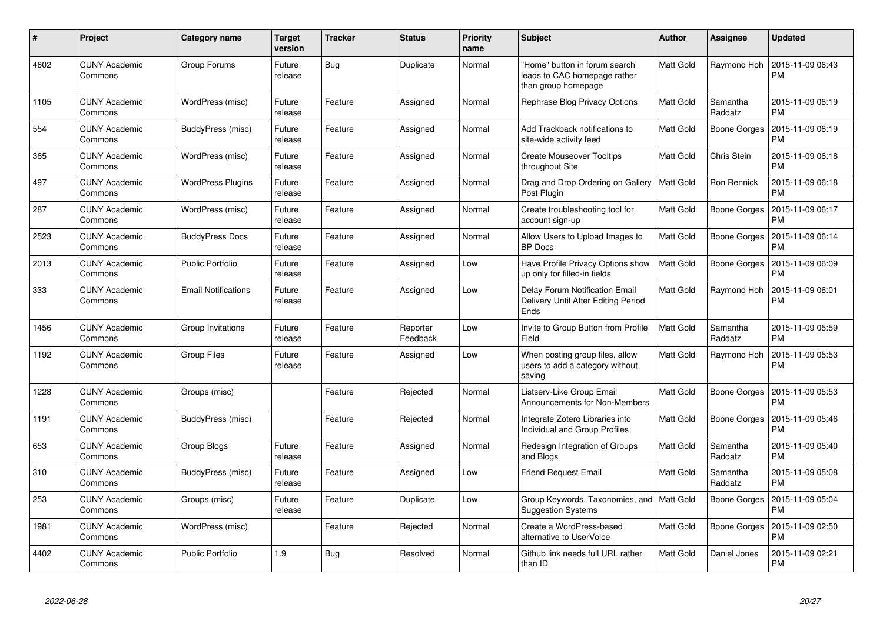| #    | Project                         | Category name              | <b>Target</b><br>version | <b>Tracker</b> | <b>Status</b>        | <b>Priority</b><br>name | <b>Subject</b>                                                                       | <b>Author</b>    | <b>Assignee</b>     | <b>Updated</b>                |
|------|---------------------------------|----------------------------|--------------------------|----------------|----------------------|-------------------------|--------------------------------------------------------------------------------------|------------------|---------------------|-------------------------------|
| 4602 | <b>CUNY Academic</b><br>Commons | Group Forums               | Future<br>release        | Bug            | Duplicate            | Normal                  | "Home" button in forum search<br>leads to CAC homepage rather<br>than group homepage | <b>Matt Gold</b> | Raymond Hoh         | 2015-11-09 06:43<br>PM        |
| 1105 | <b>CUNY Academic</b><br>Commons | WordPress (misc)           | Future<br>release        | Feature        | Assigned             | Normal                  | Rephrase Blog Privacy Options                                                        | Matt Gold        | Samantha<br>Raddatz | 2015-11-09 06:19<br><b>PM</b> |
| 554  | <b>CUNY Academic</b><br>Commons | BuddyPress (misc)          | Future<br>release        | Feature        | Assigned             | Normal                  | Add Trackback notifications to<br>site-wide activity feed                            | <b>Matt Gold</b> | Boone Gorges        | 2015-11-09 06:19<br><b>PM</b> |
| 365  | <b>CUNY Academic</b><br>Commons | WordPress (misc)           | Future<br>release        | Feature        | Assigned             | Normal                  | <b>Create Mouseover Tooltips</b><br>throughout Site                                  | Matt Gold        | Chris Stein         | 2015-11-09 06:18<br>PM        |
| 497  | <b>CUNY Academic</b><br>Commons | <b>WordPress Plugins</b>   | Future<br>release        | Feature        | Assigned             | Normal                  | Drag and Drop Ordering on Gallery<br>Post Plugin                                     | <b>Matt Gold</b> | Ron Rennick         | 2015-11-09 06:18<br>PM        |
| 287  | <b>CUNY Academic</b><br>Commons | WordPress (misc)           | Future<br>release        | Feature        | Assigned             | Normal                  | Create troubleshooting tool for<br>account sign-up                                   | Matt Gold        | Boone Gorges        | 2015-11-09 06:17<br>PM        |
| 2523 | <b>CUNY Academic</b><br>Commons | <b>BuddyPress Docs</b>     | Future<br>release        | Feature        | Assigned             | Normal                  | Allow Users to Upload Images to<br><b>BP</b> Docs                                    | Matt Gold        | Boone Gorges        | 2015-11-09 06:14<br>PM        |
| 2013 | <b>CUNY Academic</b><br>Commons | <b>Public Portfolio</b>    | Future<br>release        | Feature        | Assigned             | Low                     | Have Profile Privacy Options show<br>up only for filled-in fields                    | <b>Matt Gold</b> | Boone Gorges        | 2015-11-09 06:09<br><b>PM</b> |
| 333  | <b>CUNY Academic</b><br>Commons | <b>Email Notifications</b> | Future<br>release        | Feature        | Assigned             | Low                     | Delay Forum Notification Email<br>Delivery Until After Editing Period<br>Ends        | Matt Gold        | Raymond Hoh         | 2015-11-09 06:01<br>PM        |
| 1456 | <b>CUNY Academic</b><br>Commons | Group Invitations          | Future<br>release        | Feature        | Reporter<br>Feedback | Low                     | Invite to Group Button from Profile<br>Field                                         | Matt Gold        | Samantha<br>Raddatz | 2015-11-09 05:59<br><b>PM</b> |
| 1192 | <b>CUNY Academic</b><br>Commons | <b>Group Files</b>         | Future<br>release        | Feature        | Assigned             | Low                     | When posting group files, allow<br>users to add a category without<br>saving         | Matt Gold        | Raymond Hoh         | 2015-11-09 05:53<br><b>PM</b> |
| 1228 | <b>CUNY Academic</b><br>Commons | Groups (misc)              |                          | Feature        | Rejected             | Normal                  | Listserv-Like Group Email<br>Announcements for Non-Members                           | Matt Gold        | Boone Gorges        | 2015-11-09 05:53<br>PM        |
| 1191 | <b>CUNY Academic</b><br>Commons | BuddyPress (misc)          |                          | Feature        | Rejected             | Normal                  | Integrate Zotero Libraries into<br><b>Individual and Group Profiles</b>              | Matt Gold        | Boone Gorges        | 2015-11-09 05:46<br>PM        |
| 653  | <b>CUNY Academic</b><br>Commons | Group Blogs                | Future<br>release        | Feature        | Assigned             | Normal                  | Redesign Integration of Groups<br>and Blogs                                          | Matt Gold        | Samantha<br>Raddatz | 2015-11-09 05:40<br>PM        |
| 310  | <b>CUNY Academic</b><br>Commons | BuddyPress (misc)          | Future<br>release        | Feature        | Assigned             | Low                     | <b>Friend Request Email</b>                                                          | Matt Gold        | Samantha<br>Raddatz | 2015-11-09 05:08<br><b>PM</b> |
| 253  | <b>CUNY Academic</b><br>Commons | Groups (misc)              | Future<br>release        | Feature        | Duplicate            | Low                     | Group Keywords, Taxonomies, and   Matt Gold<br><b>Suggestion Systems</b>             |                  | Boone Gorges        | 2015-11-09 05:04<br><b>PM</b> |
| 1981 | <b>CUNY Academic</b><br>Commons | WordPress (misc)           |                          | Feature        | Rejected             | Normal                  | Create a WordPress-based<br>alternative to UserVoice                                 | Matt Gold        | Boone Gorges        | 2015-11-09 02:50<br><b>PM</b> |
| 4402 | CUNY Academic<br>Commons        | <b>Public Portfolio</b>    | 1.9                      | <b>Bug</b>     | Resolved             | Normal                  | Github link needs full URL rather<br>than ID                                         | <b>Matt Gold</b> | Daniel Jones        | 2015-11-09 02:21<br>PM        |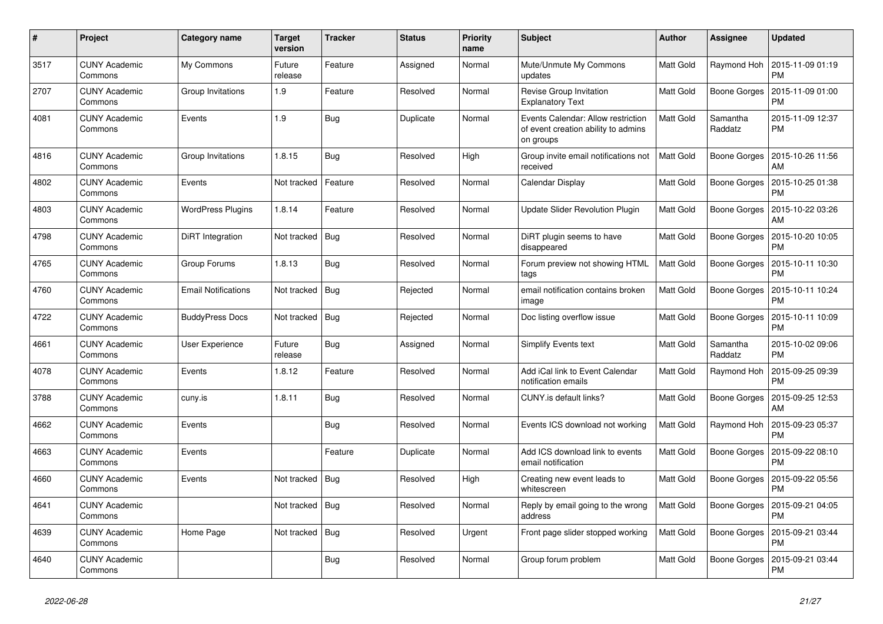| #    | Project                         | Category name              | <b>Target</b><br>version | <b>Tracker</b> | <b>Status</b> | <b>Priority</b><br>name | <b>Subject</b>                                                                         | <b>Author</b>    | <b>Assignee</b>     | <b>Updated</b>                |
|------|---------------------------------|----------------------------|--------------------------|----------------|---------------|-------------------------|----------------------------------------------------------------------------------------|------------------|---------------------|-------------------------------|
| 3517 | <b>CUNY Academic</b><br>Commons | My Commons                 | Future<br>release        | Feature        | Assigned      | Normal                  | Mute/Unmute My Commons<br>updates                                                      | Matt Gold        | Raymond Hoh         | 2015-11-09 01:19<br><b>PM</b> |
| 2707 | <b>CUNY Academic</b><br>Commons | Group Invitations          | 1.9                      | Feature        | Resolved      | Normal                  | Revise Group Invitation<br><b>Explanatory Text</b>                                     | Matt Gold        | <b>Boone Gorges</b> | 2015-11-09 01:00<br><b>PM</b> |
| 4081 | <b>CUNY Academic</b><br>Commons | Events                     | 1.9                      | Bug            | Duplicate     | Normal                  | Events Calendar: Allow restriction<br>of event creation ability to admins<br>on groups | <b>Matt Gold</b> | Samantha<br>Raddatz | 2015-11-09 12:37<br><b>PM</b> |
| 4816 | <b>CUNY Academic</b><br>Commons | Group Invitations          | 1.8.15                   | Bug            | Resolved      | High                    | Group invite email notifications not<br>received                                       | <b>Matt Gold</b> | <b>Boone Gorges</b> | 2015-10-26 11:56<br>AM        |
| 4802 | <b>CUNY Academic</b><br>Commons | Events                     | Not tracked              | Feature        | Resolved      | Normal                  | Calendar Display                                                                       | Matt Gold        | Boone Gorges        | 2015-10-25 01:38<br><b>PM</b> |
| 4803 | <b>CUNY Academic</b><br>Commons | <b>WordPress Plugins</b>   | 1.8.14                   | Feature        | Resolved      | Normal                  | <b>Update Slider Revolution Plugin</b>                                                 | Matt Gold        | Boone Gorges        | 2015-10-22 03:26<br>AM        |
| 4798 | <b>CUNY Academic</b><br>Commons | DiRT Integration           | Not tracked              | <b>Bug</b>     | Resolved      | Normal                  | DiRT plugin seems to have<br>disappeared                                               | Matt Gold        | <b>Boone Gorges</b> | 2015-10-20 10:05<br><b>PM</b> |
| 4765 | <b>CUNY Academic</b><br>Commons | Group Forums               | 1.8.13                   | <b>Bug</b>     | Resolved      | Normal                  | Forum preview not showing HTML<br>tags                                                 | <b>Matt Gold</b> | Boone Gorges        | 2015-10-11 10:30<br><b>PM</b> |
| 4760 | <b>CUNY Academic</b><br>Commons | <b>Email Notifications</b> | Not tracked              | Bug            | Rejected      | Normal                  | email notification contains broken<br>image                                            | Matt Gold        | Boone Gorges        | 2015-10-11 10:24<br><b>PM</b> |
| 4722 | <b>CUNY Academic</b><br>Commons | <b>BuddyPress Docs</b>     | Not tracked              | <b>Bug</b>     | Rejected      | Normal                  | Doc listing overflow issue                                                             | Matt Gold        | <b>Boone Gorges</b> | 2015-10-11 10:09<br><b>PM</b> |
| 4661 | <b>CUNY Academic</b><br>Commons | User Experience            | Future<br>release        | <b>Bug</b>     | Assigned      | Normal                  | Simplify Events text                                                                   | <b>Matt Gold</b> | Samantha<br>Raddatz | 2015-10-02 09:06<br><b>PM</b> |
| 4078 | <b>CUNY Academic</b><br>Commons | Events                     | 1.8.12                   | Feature        | Resolved      | Normal                  | Add iCal link to Event Calendar<br>notification emails                                 | Matt Gold        | Raymond Hoh         | 2015-09-25 09:39<br><b>PM</b> |
| 3788 | <b>CUNY Academic</b><br>Commons | cuny.is                    | 1.8.11                   | <b>Bug</b>     | Resolved      | Normal                  | CUNY.is default links?                                                                 | Matt Gold        | <b>Boone Gorges</b> | 2015-09-25 12:53<br>AM        |
| 4662 | <b>CUNY Academic</b><br>Commons | Events                     |                          | Bug            | Resolved      | Normal                  | Events ICS download not working                                                        | <b>Matt Gold</b> | Raymond Hoh         | 2015-09-23 05:37<br><b>PM</b> |
| 4663 | <b>CUNY Academic</b><br>Commons | Events                     |                          | Feature        | Duplicate     | Normal                  | Add ICS download link to events<br>email notification                                  | Matt Gold        | Boone Gorges        | 2015-09-22 08:10<br><b>PM</b> |
| 4660 | <b>CUNY Academic</b><br>Commons | Events                     | Not tracked              | Bug            | Resolved      | High                    | Creating new event leads to<br>whitescreen                                             | Matt Gold        | <b>Boone Gorges</b> | 2015-09-22 05:56<br><b>PM</b> |
| 4641 | <b>CUNY Academic</b><br>Commons |                            | Not tracked              | <b>Bug</b>     | Resolved      | Normal                  | Reply by email going to the wrong<br>address                                           | <b>Matt Gold</b> | Boone Gorges        | 2015-09-21 04:05<br><b>PM</b> |
| 4639 | <b>CUNY Academic</b><br>Commons | Home Page                  | Not tracked              | Bug            | Resolved      | Urgent                  | Front page slider stopped working                                                      | Matt Gold        | Boone Gorges        | 2015-09-21 03:44<br><b>PM</b> |
| 4640 | <b>CUNY Academic</b><br>Commons |                            |                          | Bug            | Resolved      | Normal                  | Group forum problem                                                                    | Matt Gold        | Boone Gorges        | 2015-09-21 03:44<br><b>PM</b> |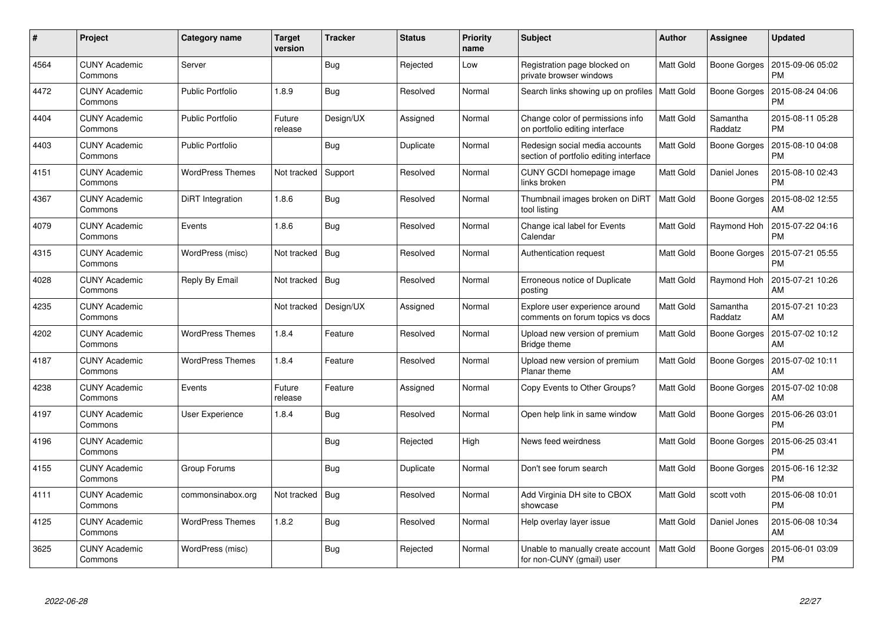| #    | Project                         | <b>Category name</b>    | <b>Target</b><br>version | <b>Tracker</b> | <b>Status</b> | <b>Priority</b><br>name | <b>Subject</b>                                                           | Author           | Assignee            | <b>Updated</b>                |
|------|---------------------------------|-------------------------|--------------------------|----------------|---------------|-------------------------|--------------------------------------------------------------------------|------------------|---------------------|-------------------------------|
| 4564 | <b>CUNY Academic</b><br>Commons | Server                  |                          | <b>Bug</b>     | Rejected      | Low                     | Registration page blocked on<br>private browser windows                  | <b>Matt Gold</b> | Boone Gorges        | 2015-09-06 05:02<br>PM        |
| 4472 | <b>CUNY Academic</b><br>Commons | <b>Public Portfolio</b> | 1.8.9                    | Bug            | Resolved      | Normal                  | Search links showing up on profiles   Matt Gold                          |                  | <b>Boone Gorges</b> | 2015-08-24 04:06<br><b>PM</b> |
| 4404 | <b>CUNY Academic</b><br>Commons | <b>Public Portfolio</b> | Future<br>release        | Design/UX      | Assigned      | Normal                  | Change color of permissions info<br>on portfolio editing interface       | Matt Gold        | Samantha<br>Raddatz | 2015-08-11 05:28<br><b>PM</b> |
| 4403 | <b>CUNY Academic</b><br>Commons | <b>Public Portfolio</b> |                          | Bug            | Duplicate     | Normal                  | Redesign social media accounts<br>section of portfolio editing interface | <b>Matt Gold</b> | <b>Boone Gorges</b> | 2015-08-10 04:08<br><b>PM</b> |
| 4151 | <b>CUNY Academic</b><br>Commons | <b>WordPress Themes</b> | Not tracked              | Support        | Resolved      | Normal                  | CUNY GCDI homepage image<br>links broken                                 | Matt Gold        | Daniel Jones        | 2015-08-10 02:43<br><b>PM</b> |
| 4367 | <b>CUNY Academic</b><br>Commons | DiRT Integration        | 1.8.6                    | <b>Bug</b>     | Resolved      | Normal                  | Thumbnail images broken on DiRT<br>tool listing                          | <b>Matt Gold</b> | Boone Gorges        | 2015-08-02 12:55<br>AM        |
| 4079 | <b>CUNY Academic</b><br>Commons | Events                  | 1.8.6                    | <b>Bug</b>     | Resolved      | Normal                  | Change ical label for Events<br>Calendar                                 | <b>Matt Gold</b> | Raymond Hoh         | 2015-07-22 04:16<br><b>PM</b> |
| 4315 | <b>CUNY Academic</b><br>Commons | WordPress (misc)        | Not tracked              | <b>Bug</b>     | Resolved      | Normal                  | Authentication request                                                   | Matt Gold        | Boone Gorges        | 2015-07-21 05:55<br><b>PM</b> |
| 4028 | <b>CUNY Academic</b><br>Commons | Reply By Email          | Not tracked              | Bug            | Resolved      | Normal                  | Erroneous notice of Duplicate<br>posting                                 | <b>Matt Gold</b> | Raymond Hoh         | 2015-07-21 10:26<br>AM        |
| 4235 | <b>CUNY Academic</b><br>Commons |                         | Not tracked              | Design/UX      | Assigned      | Normal                  | Explore user experience around<br>comments on forum topics vs docs       | Matt Gold        | Samantha<br>Raddatz | 2015-07-21 10:23<br>AM        |
| 4202 | <b>CUNY Academic</b><br>Commons | <b>WordPress Themes</b> | 1.8.4                    | Feature        | Resolved      | Normal                  | Upload new version of premium<br>Bridge theme                            | Matt Gold        | Boone Gorges        | 2015-07-02 10:12<br>AM        |
| 4187 | <b>CUNY Academic</b><br>Commons | <b>WordPress Themes</b> | 1.8.4                    | Feature        | Resolved      | Normal                  | Upload new version of premium<br>Planar theme                            | Matt Gold        | Boone Gorges        | 2015-07-02 10:11<br>AM        |
| 4238 | <b>CUNY Academic</b><br>Commons | Events                  | Future<br>release        | Feature        | Assigned      | Normal                  | Copy Events to Other Groups?                                             | Matt Gold        | Boone Gorges        | 2015-07-02 10:08<br>AM        |
| 4197 | <b>CUNY Academic</b><br>Commons | User Experience         | 1.8.4                    | Bug            | Resolved      | Normal                  | Open help link in same window                                            | Matt Gold        | Boone Gorges        | 2015-06-26 03:01<br><b>PM</b> |
| 4196 | <b>CUNY Academic</b><br>Commons |                         |                          | Bug            | Rejected      | High                    | News feed weirdness                                                      | Matt Gold        | <b>Boone Gorges</b> | 2015-06-25 03:41<br><b>PM</b> |
| 4155 | <b>CUNY Academic</b><br>Commons | Group Forums            |                          | <b>Bug</b>     | Duplicate     | Normal                  | Don't see forum search                                                   | Matt Gold        | Boone Gorges        | 2015-06-16 12:32<br><b>PM</b> |
| 4111 | <b>CUNY Academic</b><br>Commons | commonsinabox.org       | Not tracked              | <b>Bug</b>     | Resolved      | Normal                  | Add Virginia DH site to CBOX<br>showcase                                 | Matt Gold        | scott voth          | 2015-06-08 10:01<br><b>PM</b> |
| 4125 | <b>CUNY Academic</b><br>Commons | <b>WordPress Themes</b> | 1.8.2                    | Bug            | Resolved      | Normal                  | Help overlay layer issue                                                 | Matt Gold        | Daniel Jones        | 2015-06-08 10:34<br>AM        |
| 3625 | <b>CUNY Academic</b><br>Commons | WordPress (misc)        |                          | <b>Bug</b>     | Rejected      | Normal                  | Unable to manually create account<br>for non-CUNY (gmail) user           | Matt Gold        | Boone Gorges        | 2015-06-01 03:09<br>PM        |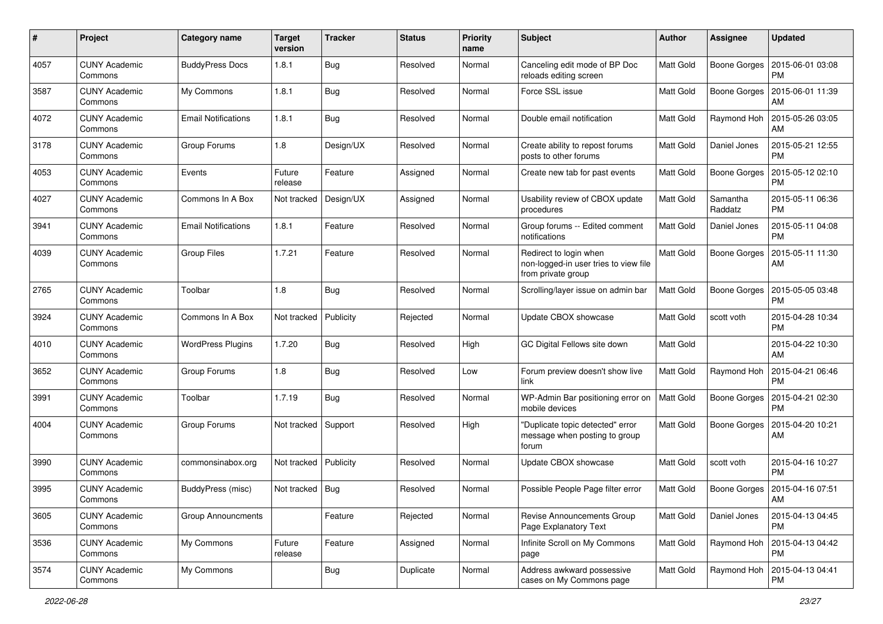| $\#$ | Project                         | Category name              | <b>Target</b><br>version | <b>Tracker</b> | <b>Status</b> | <b>Priority</b><br>name | Subject                                                                               | <b>Author</b>    | <b>Assignee</b>     | <b>Updated</b>                |
|------|---------------------------------|----------------------------|--------------------------|----------------|---------------|-------------------------|---------------------------------------------------------------------------------------|------------------|---------------------|-------------------------------|
| 4057 | <b>CUNY Academic</b><br>Commons | <b>BuddyPress Docs</b>     | 1.8.1                    | Bug            | Resolved      | Normal                  | Canceling edit mode of BP Doc<br>reloads editing screen                               | <b>Matt Gold</b> | <b>Boone Gorges</b> | 2015-06-01 03:08<br><b>PM</b> |
| 3587 | <b>CUNY Academic</b><br>Commons | My Commons                 | 1.8.1                    | Bug            | Resolved      | Normal                  | Force SSL issue                                                                       | Matt Gold        | Boone Gorges        | 2015-06-01 11:39<br>AM        |
| 4072 | CUNY Academic<br>Commons        | <b>Email Notifications</b> | 1.8.1                    | Bug            | Resolved      | Normal                  | Double email notification                                                             | Matt Gold        | Raymond Hoh         | 2015-05-26 03:05<br>AM        |
| 3178 | <b>CUNY Academic</b><br>Commons | Group Forums               | 1.8                      | Design/UX      | Resolved      | Normal                  | Create ability to repost forums<br>posts to other forums                              | Matt Gold        | Daniel Jones        | 2015-05-21 12:55<br><b>PM</b> |
| 4053 | <b>CUNY Academic</b><br>Commons | Events                     | Future<br>release        | Feature        | Assigned      | Normal                  | Create new tab for past events                                                        | Matt Gold        | Boone Gorges        | 2015-05-12 02:10<br><b>PM</b> |
| 4027 | <b>CUNY Academic</b><br>Commons | Commons In A Box           | Not tracked              | Design/UX      | Assigned      | Normal                  | Usability review of CBOX update<br>procedures                                         | Matt Gold        | Samantha<br>Raddatz | 2015-05-11 06:36<br><b>PM</b> |
| 3941 | <b>CUNY Academic</b><br>Commons | <b>Email Notifications</b> | 1.8.1                    | Feature        | Resolved      | Normal                  | Group forums -- Edited comment<br>notifications                                       | Matt Gold        | Daniel Jones        | 2015-05-11 04:08<br><b>PM</b> |
| 4039 | <b>CUNY Academic</b><br>Commons | <b>Group Files</b>         | 1.7.21                   | Feature        | Resolved      | Normal                  | Redirect to login when<br>non-logged-in user tries to view file<br>from private group | <b>Matt Gold</b> | <b>Boone Gorges</b> | 2015-05-11 11:30<br>AM        |
| 2765 | <b>CUNY Academic</b><br>Commons | Toolbar                    | 1.8                      | Bug            | Resolved      | Normal                  | Scrolling/layer issue on admin bar                                                    | <b>Matt Gold</b> | <b>Boone Gorges</b> | 2015-05-05 03:48<br><b>PM</b> |
| 3924 | <b>CUNY Academic</b><br>Commons | Commons In A Box           | Not tracked              | Publicity      | Rejected      | Normal                  | Update CBOX showcase                                                                  | Matt Gold        | scott voth          | 2015-04-28 10:34<br><b>PM</b> |
| 4010 | CUNY Academic<br>Commons        | <b>WordPress Plugins</b>   | 1.7.20                   | <b>Bug</b>     | Resolved      | High                    | GC Digital Fellows site down                                                          | Matt Gold        |                     | 2015-04-22 10:30<br>AM        |
| 3652 | <b>CUNY Academic</b><br>Commons | Group Forums               | 1.8                      | Bug            | Resolved      | Low                     | Forum preview doesn't show live<br>link                                               | Matt Gold        | Raymond Hoh         | 2015-04-21 06:46<br><b>PM</b> |
| 3991 | <b>CUNY Academic</b><br>Commons | Toolbar                    | 1.7.19                   | Bug            | Resolved      | Normal                  | WP-Admin Bar positioning error on<br>mobile devices                                   | Matt Gold        | Boone Gorges        | 2015-04-21 02:30<br><b>PM</b> |
| 4004 | <b>CUNY Academic</b><br>Commons | Group Forums               | Not tracked              | Support        | Resolved      | High                    | "Duplicate topic detected" error<br>message when posting to group<br>forum            | Matt Gold        | Boone Gorges        | 2015-04-20 10:21<br>AM        |
| 3990 | <b>CUNY Academic</b><br>Commons | commonsinabox.org          | Not tracked   Publicity  |                | Resolved      | Normal                  | Update CBOX showcase                                                                  | Matt Gold        | scott voth          | 2015-04-16 10:27<br><b>PM</b> |
| 3995 | <b>CUNY Academic</b><br>Commons | BuddyPress (misc)          | Not tracked   Bug        |                | Resolved      | Normal                  | Possible People Page filter error                                                     | Matt Gold        | Boone Gorges        | 2015-04-16 07:51<br>AM        |
| 3605 | <b>CUNY Academic</b><br>Commons | <b>Group Announcments</b>  |                          | Feature        | Rejected      | Normal                  | Revise Announcements Group<br>Page Explanatory Text                                   | Matt Gold        | Daniel Jones        | 2015-04-13 04:45<br><b>PM</b> |
| 3536 | <b>CUNY Academic</b><br>Commons | My Commons                 | Future<br>release        | Feature        | Assigned      | Normal                  | Infinite Scroll on My Commons<br>page                                                 | Matt Gold        | Raymond Hoh         | 2015-04-13 04:42<br><b>PM</b> |
| 3574 | <b>CUNY Academic</b><br>Commons | My Commons                 |                          | <b>Bug</b>     | Duplicate     | Normal                  | Address awkward possessive<br>cases on My Commons page                                | Matt Gold        | Raymond Hoh         | 2015-04-13 04:41<br><b>PM</b> |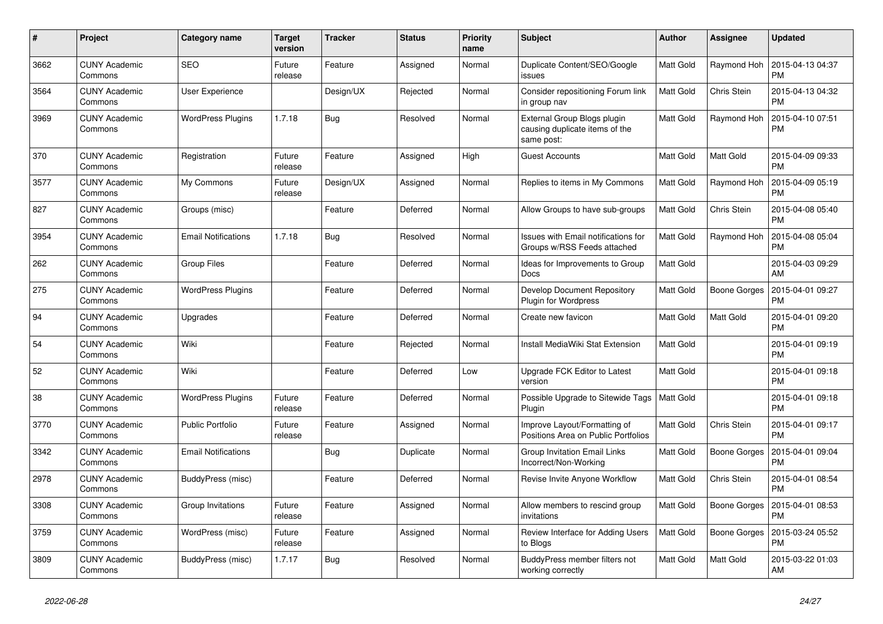| #    | Project                         | <b>Category name</b>       | <b>Target</b><br>version | <b>Tracker</b> | <b>Status</b> | <b>Priority</b><br>name | <b>Subject</b>                                                              | <b>Author</b>    | <b>Assignee</b> | <b>Updated</b>                |
|------|---------------------------------|----------------------------|--------------------------|----------------|---------------|-------------------------|-----------------------------------------------------------------------------|------------------|-----------------|-------------------------------|
| 3662 | <b>CUNY Academic</b><br>Commons | <b>SEO</b>                 | Future<br>release        | Feature        | Assigned      | Normal                  | Duplicate Content/SEO/Google<br>issues                                      | Matt Gold        | Raymond Hoh     | 2015-04-13 04:37<br><b>PM</b> |
| 3564 | <b>CUNY Academic</b><br>Commons | User Experience            |                          | Design/UX      | Rejected      | Normal                  | Consider repositioning Forum link<br>in group nav                           | <b>Matt Gold</b> | Chris Stein     | 2015-04-13 04:32<br><b>PM</b> |
| 3969 | <b>CUNY Academic</b><br>Commons | <b>WordPress Plugins</b>   | 1.7.18                   | <b>Bug</b>     | Resolved      | Normal                  | External Group Blogs plugin<br>causing duplicate items of the<br>same post: | Matt Gold        | Raymond Hoh     | 2015-04-10 07:51<br><b>PM</b> |
| 370  | <b>CUNY Academic</b><br>Commons | Registration               | Future<br>release        | Feature        | Assigned      | High                    | <b>Guest Accounts</b>                                                       | Matt Gold        | Matt Gold       | 2015-04-09 09:33<br><b>PM</b> |
| 3577 | <b>CUNY Academic</b><br>Commons | My Commons                 | Future<br>release        | Design/UX      | Assigned      | Normal                  | Replies to items in My Commons                                              | Matt Gold        | Raymond Hoh     | 2015-04-09 05:19<br><b>PM</b> |
| 827  | <b>CUNY Academic</b><br>Commons | Groups (misc)              |                          | Feature        | Deferred      | Normal                  | Allow Groups to have sub-groups                                             | Matt Gold        | Chris Stein     | 2015-04-08 05:40<br><b>PM</b> |
| 3954 | <b>CUNY Academic</b><br>Commons | <b>Email Notifications</b> | 1.7.18                   | <b>Bug</b>     | Resolved      | Normal                  | <b>Issues with Email notifications for</b><br>Groups w/RSS Feeds attached   | <b>Matt Gold</b> | Raymond Hoh     | 2015-04-08 05:04<br><b>PM</b> |
| 262  | <b>CUNY Academic</b><br>Commons | Group Files                |                          | Feature        | Deferred      | Normal                  | Ideas for Improvements to Group<br>Docs                                     | <b>Matt Gold</b> |                 | 2015-04-03 09:29<br>AM        |
| 275  | <b>CUNY Academic</b><br>Commons | <b>WordPress Plugins</b>   |                          | Feature        | Deferred      | Normal                  | Develop Document Repository<br>Plugin for Wordpress                         | Matt Gold        | Boone Gorges    | 2015-04-01 09:27<br><b>PM</b> |
| 94   | <b>CUNY Academic</b><br>Commons | Upgrades                   |                          | Feature        | Deferred      | Normal                  | Create new favicon                                                          | Matt Gold        | Matt Gold       | 2015-04-01 09:20<br><b>PM</b> |
| 54   | <b>CUNY Academic</b><br>Commons | Wiki                       |                          | Feature        | Rejected      | Normal                  | Install MediaWiki Stat Extension                                            | <b>Matt Gold</b> |                 | 2015-04-01 09:19<br><b>PM</b> |
| 52   | <b>CUNY Academic</b><br>Commons | Wiki                       |                          | Feature        | Deferred      | Low                     | Upgrade FCK Editor to Latest<br>version                                     | Matt Gold        |                 | 2015-04-01 09:18<br><b>PM</b> |
| 38   | <b>CUNY Academic</b><br>Commons | <b>WordPress Plugins</b>   | Future<br>release        | Feature        | Deferred      | Normal                  | Possible Upgrade to Sitewide Tags<br>Plugin                                 | Matt Gold        |                 | 2015-04-01 09:18<br><b>PM</b> |
| 3770 | <b>CUNY Academic</b><br>Commons | <b>Public Portfolio</b>    | Future<br>release        | Feature        | Assigned      | Normal                  | Improve Layout/Formatting of<br>Positions Area on Public Portfolios         | Matt Gold        | Chris Stein     | 2015-04-01 09:17<br><b>PM</b> |
| 3342 | <b>CUNY Academic</b><br>Commons | <b>Email Notifications</b> |                          | Bug            | Duplicate     | Normal                  | <b>Group Invitation Email Links</b><br>Incorrect/Non-Working                | Matt Gold        | Boone Gorges    | 2015-04-01 09:04<br><b>PM</b> |
| 2978 | <b>CUNY Academic</b><br>Commons | BuddyPress (misc)          |                          | Feature        | Deferred      | Normal                  | Revise Invite Anyone Workflow                                               | Matt Gold        | Chris Stein     | 2015-04-01 08:54<br><b>PM</b> |
| 3308 | <b>CUNY Academic</b><br>Commons | Group Invitations          | Future<br>release        | Feature        | Assigned      | Normal                  | Allow members to rescind group<br>invitations                               | Matt Gold        | Boone Gorges    | 2015-04-01 08:53<br><b>PM</b> |
| 3759 | <b>CUNY Academic</b><br>Commons | WordPress (misc)           | Future<br>release        | Feature        | Assigned      | Normal                  | Review Interface for Adding Users<br>to Blogs                               | <b>Matt Gold</b> | Boone Gorges    | 2015-03-24 05:52<br>PM        |
| 3809 | <b>CUNY Academic</b><br>Commons | BuddyPress (misc)          | 1.7.17                   | Bug            | Resolved      | Normal                  | BuddyPress member filters not<br>working correctly                          | Matt Gold        | Matt Gold       | 2015-03-22 01:03<br>AM        |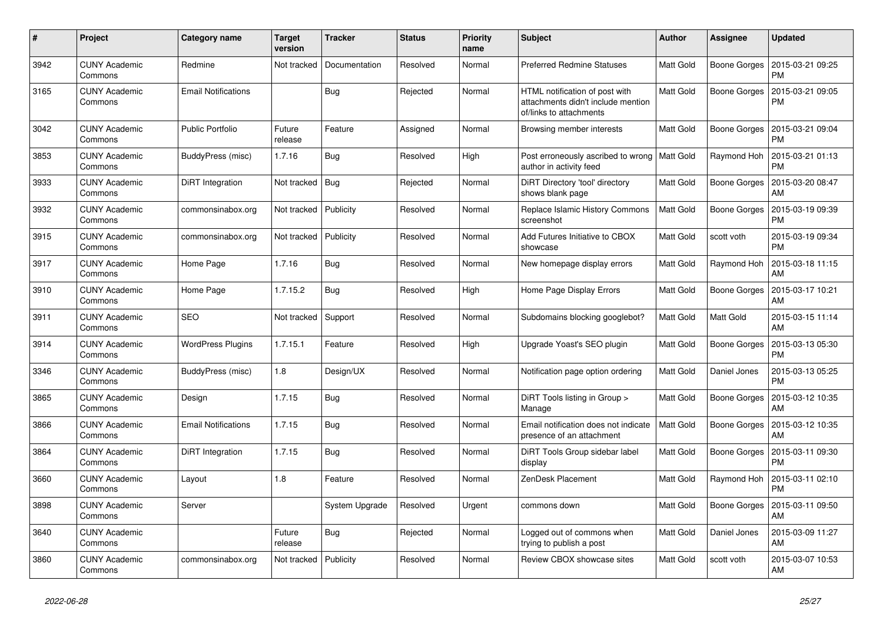| $\#$ | Project                         | Category name              | <b>Target</b><br>version | <b>Tracker</b>   | <b>Status</b> | <b>Priority</b><br>name | <b>Subject</b>                                                                                  | <b>Author</b>    | <b>Assignee</b>     | <b>Updated</b>                |
|------|---------------------------------|----------------------------|--------------------------|------------------|---------------|-------------------------|-------------------------------------------------------------------------------------------------|------------------|---------------------|-------------------------------|
| 3942 | <b>CUNY Academic</b><br>Commons | Redmine                    | Not tracked              | Documentation    | Resolved      | Normal                  | <b>Preferred Redmine Statuses</b>                                                               | Matt Gold        | Boone Gorges        | 2015-03-21 09:25<br><b>PM</b> |
| 3165 | <b>CUNY Academic</b><br>Commons | <b>Email Notifications</b> |                          | Bug              | Rejected      | Normal                  | HTML notification of post with<br>attachments didn't include mention<br>of/links to attachments | Matt Gold        | Boone Gorges        | 2015-03-21 09:05<br>PM        |
| 3042 | <b>CUNY Academic</b><br>Commons | <b>Public Portfolio</b>    | Future<br>release        | Feature          | Assigned      | Normal                  | Browsing member interests                                                                       | Matt Gold        | Boone Gorges        | 2015-03-21 09:04<br><b>PM</b> |
| 3853 | <b>CUNY Academic</b><br>Commons | BuddyPress (misc)          | 1.7.16                   | <b>Bug</b>       | Resolved      | High                    | Post erroneously ascribed to wrong   Matt Gold<br>author in activity feed                       |                  | Raymond Hoh         | 2015-03-21 01:13<br><b>PM</b> |
| 3933 | <b>CUNY Academic</b><br>Commons | DiRT Integration           | Not tracked              | Bug              | Rejected      | Normal                  | DiRT Directory 'tool' directory<br>shows blank page                                             | Matt Gold        | Boone Gorges        | 2015-03-20 08:47<br>AM        |
| 3932 | <b>CUNY Academic</b><br>Commons | commonsinabox.org          | Not tracked              | <b>Publicity</b> | Resolved      | Normal                  | Replace Islamic History Commons<br>screenshot                                                   | <b>Matt Gold</b> | <b>Boone Gorges</b> | 2015-03-19 09:39<br><b>PM</b> |
| 3915 | <b>CUNY Academic</b><br>Commons | commonsinabox.org          | Not tracked              | Publicity        | Resolved      | Normal                  | Add Futures Initiative to CBOX<br>showcase                                                      | Matt Gold        | scott voth          | 2015-03-19 09:34<br><b>PM</b> |
| 3917 | <b>CUNY Academic</b><br>Commons | Home Page                  | 1.7.16                   | <b>Bug</b>       | Resolved      | Normal                  | New homepage display errors                                                                     | Matt Gold        | Raymond Hoh         | 2015-03-18 11:15<br>AM        |
| 3910 | <b>CUNY Academic</b><br>Commons | Home Page                  | 1.7.15.2                 | <b>Bug</b>       | Resolved      | High                    | Home Page Display Errors                                                                        | Matt Gold        | Boone Gorges        | 2015-03-17 10:21<br>AM        |
| 3911 | <b>CUNY Academic</b><br>Commons | <b>SEO</b>                 | Not tracked              | Support          | Resolved      | Normal                  | Subdomains blocking googlebot?                                                                  | <b>Matt Gold</b> | Matt Gold           | 2015-03-15 11:14<br>AM        |
| 3914 | <b>CUNY Academic</b><br>Commons | <b>WordPress Plugins</b>   | 1.7.15.1                 | Feature          | Resolved      | High                    | Upgrade Yoast's SEO plugin                                                                      | Matt Gold        | Boone Gorges        | 2015-03-13 05:30<br><b>PM</b> |
| 3346 | <b>CUNY Academic</b><br>Commons | BuddyPress (misc)          | 1.8                      | Design/UX        | Resolved      | Normal                  | Notification page option ordering                                                               | <b>Matt Gold</b> | Daniel Jones        | 2015-03-13 05:25<br><b>PM</b> |
| 3865 | <b>CUNY Academic</b><br>Commons | Design                     | 1.7.15                   | Bug              | Resolved      | Normal                  | DiRT Tools listing in Group ><br>Manage                                                         | <b>Matt Gold</b> | Boone Gorges        | 2015-03-12 10:35<br>AM        |
| 3866 | <b>CUNY Academic</b><br>Commons | <b>Email Notifications</b> | 1.7.15                   | Bug              | Resolved      | Normal                  | Email notification does not indicate<br>presence of an attachment                               | <b>Matt Gold</b> | Boone Gorges        | 2015-03-12 10:35<br>AM        |
| 3864 | <b>CUNY Academic</b><br>Commons | DiRT Integration           | 1.7.15                   | <b>Bug</b>       | Resolved      | Normal                  | DiRT Tools Group sidebar label<br>display                                                       | <b>Matt Gold</b> | Boone Gorges        | 2015-03-11 09:30<br><b>PM</b> |
| 3660 | <b>CUNY Academic</b><br>Commons | Layout                     | 1.8                      | Feature          | Resolved      | Normal                  | ZenDesk Placement                                                                               | Matt Gold        | Raymond Hoh         | 2015-03-11 02:10<br>PM        |
| 3898 | <b>CUNY Academic</b><br>Commons | Server                     |                          | System Upgrade   | Resolved      | Urgent                  | commons down                                                                                    | Matt Gold        | Boone Gorges        | 2015-03-11 09:50<br>AM        |
| 3640 | <b>CUNY Academic</b><br>Commons |                            | Future<br>release        | <b>Bug</b>       | Rejected      | Normal                  | Logged out of commons when<br>trying to publish a post                                          | <b>Matt Gold</b> | Daniel Jones        | 2015-03-09 11:27<br>AM        |
| 3860 | <b>CUNY Academic</b><br>Commons | commonsinabox.org          | Not tracked              | Publicity        | Resolved      | Normal                  | Review CBOX showcase sites                                                                      | Matt Gold        | scott voth          | 2015-03-07 10:53<br>AM        |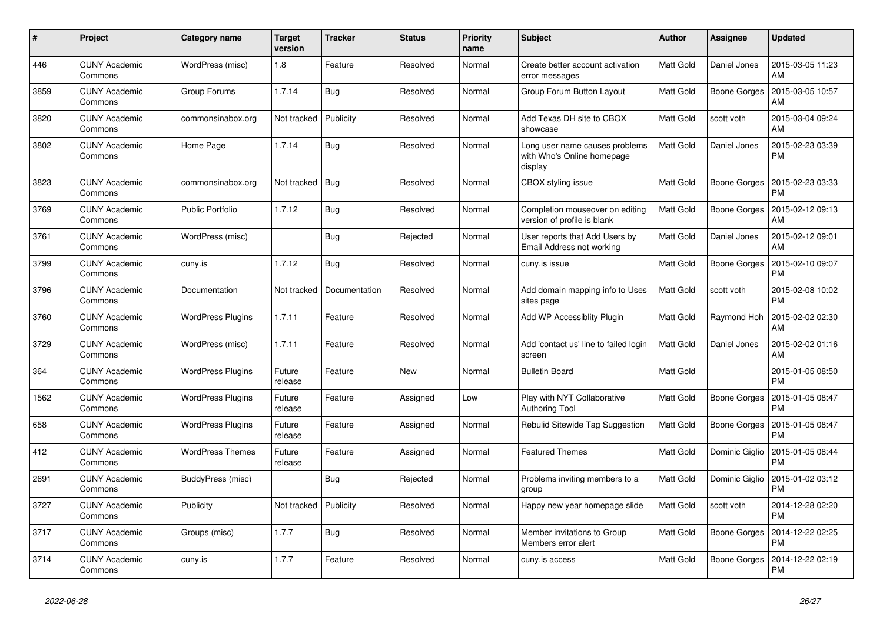| #    | Project                         | Category name            | <b>Target</b><br>version | <b>Tracker</b> | <b>Status</b> | <b>Priority</b><br>name | <b>Subject</b>                                                          | <b>Author</b>    | <b>Assignee</b>     | <b>Updated</b>                |
|------|---------------------------------|--------------------------|--------------------------|----------------|---------------|-------------------------|-------------------------------------------------------------------------|------------------|---------------------|-------------------------------|
| 446  | <b>CUNY Academic</b><br>Commons | WordPress (misc)         | 1.8                      | Feature        | Resolved      | Normal                  | Create better account activation<br>error messages                      | <b>Matt Gold</b> | Daniel Jones        | 2015-03-05 11:23<br>AM        |
| 3859 | <b>CUNY Academic</b><br>Commons | Group Forums             | 1.7.14                   | Bug            | Resolved      | Normal                  | Group Forum Button Layout                                               | Matt Gold        | Boone Gorges        | 2015-03-05 10:57<br>AM        |
| 3820 | <b>CUNY Academic</b><br>Commons | commonsinabox.org        | Not tracked              | Publicity      | Resolved      | Normal                  | Add Texas DH site to CBOX<br>showcase                                   | <b>Matt Gold</b> | scott voth          | 2015-03-04 09:24<br>AM        |
| 3802 | <b>CUNY Academic</b><br>Commons | Home Page                | 1.7.14                   | Bug            | Resolved      | Normal                  | Long user name causes problems<br>with Who's Online homepage<br>display | Matt Gold        | Daniel Jones        | 2015-02-23 03:39<br>PM        |
| 3823 | <b>CUNY Academic</b><br>Commons | commonsinabox.org        | Not tracked              | Bug            | Resolved      | Normal                  | CBOX styling issue                                                      | Matt Gold        | Boone Gorges        | 2015-02-23 03:33<br><b>PM</b> |
| 3769 | <b>CUNY Academic</b><br>Commons | <b>Public Portfolio</b>  | 1.7.12                   | <b>Bug</b>     | Resolved      | Normal                  | Completion mouseover on editing<br>version of profile is blank          | <b>Matt Gold</b> | <b>Boone Gorges</b> | 2015-02-12 09:13<br>AM        |
| 3761 | <b>CUNY Academic</b><br>Commons | WordPress (misc)         |                          | Bug            | Rejected      | Normal                  | User reports that Add Users by<br>Email Address not working             | Matt Gold        | Daniel Jones        | 2015-02-12 09:01<br>AM        |
| 3799 | <b>CUNY Academic</b><br>Commons | cuny.is                  | 1.7.12                   | Bug            | Resolved      | Normal                  | cuny.is issue                                                           | Matt Gold        | Boone Gorges        | 2015-02-10 09:07<br><b>PM</b> |
| 3796 | <b>CUNY Academic</b><br>Commons | Documentation            | Not tracked              | Documentation  | Resolved      | Normal                  | Add domain mapping info to Uses<br>sites page                           | Matt Gold        | scott voth          | 2015-02-08 10:02<br><b>PM</b> |
| 3760 | <b>CUNY Academic</b><br>Commons | <b>WordPress Plugins</b> | 1.7.11                   | Feature        | Resolved      | Normal                  | <b>Add WP Accessiblity Plugin</b>                                       | Matt Gold        | Raymond Hoh         | 2015-02-02 02:30<br>AM        |
| 3729 | <b>CUNY Academic</b><br>Commons | WordPress (misc)         | 1.7.11                   | Feature        | Resolved      | Normal                  | Add 'contact us' line to failed login<br>screen                         | <b>Matt Gold</b> | Daniel Jones        | 2015-02-02 01:16<br>AM        |
| 364  | <b>CUNY Academic</b><br>Commons | <b>WordPress Plugins</b> | Future<br>release        | Feature        | New           | Normal                  | <b>Bulletin Board</b>                                                   | Matt Gold        |                     | 2015-01-05 08:50<br><b>PM</b> |
| 1562 | <b>CUNY Academic</b><br>Commons | WordPress Plugins        | Future<br>release        | Feature        | Assigned      | Low                     | Play with NYT Collaborative<br><b>Authoring Tool</b>                    | Matt Gold        | Boone Gorges        | 2015-01-05 08:47<br><b>PM</b> |
| 658  | <b>CUNY Academic</b><br>Commons | <b>WordPress Plugins</b> | Future<br>release        | Feature        | Assigned      | Normal                  | Rebulid Sitewide Tag Suggestion                                         | Matt Gold        | Boone Gorges        | 2015-01-05 08:47<br>PM        |
| 412  | <b>CUNY Academic</b><br>Commons | <b>WordPress Themes</b>  | Future<br>release        | Feature        | Assigned      | Normal                  | <b>Featured Themes</b>                                                  | <b>Matt Gold</b> | Dominic Giglio      | 2015-01-05 08:44<br>PM        |
| 2691 | <b>CUNY Academic</b><br>Commons | BuddyPress (misc)        |                          | <b>Bug</b>     | Rejected      | Normal                  | Problems inviting members to a<br>group                                 | Matt Gold        | Dominic Giglio      | 2015-01-02 03:12<br>РM        |
| 3727 | <b>CUNY Academic</b><br>Commons | Publicity                | Not tracked              | Publicity      | Resolved      | Normal                  | Happy new year homepage slide                                           | Matt Gold        | scott voth          | 2014-12-28 02:20<br>PM        |
| 3717 | <b>CUNY Academic</b><br>Commons | Groups (misc)            | 1.7.7                    | Bug            | Resolved      | Normal                  | Member invitations to Group<br>Members error alert                      | <b>Matt Gold</b> | Boone Gorges        | 2014-12-22 02:25<br><b>PM</b> |
| 3714 | <b>CUNY Academic</b><br>Commons | cuny.is                  | 1.7.7                    | Feature        | Resolved      | Normal                  | cuny.is access                                                          | Matt Gold        | Boone Gorges        | 2014-12-22 02:19<br>РM        |